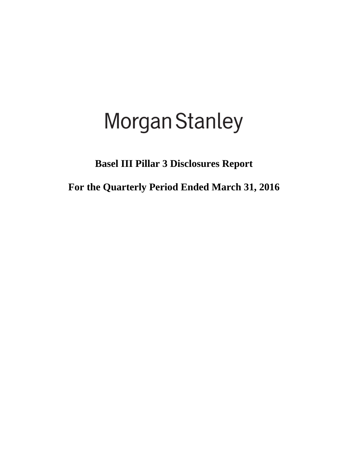# **Morgan Stanley**

**Basel III Pillar 3 Disclosures Report** 

**For the Quarterly Period Ended March 31, 2016**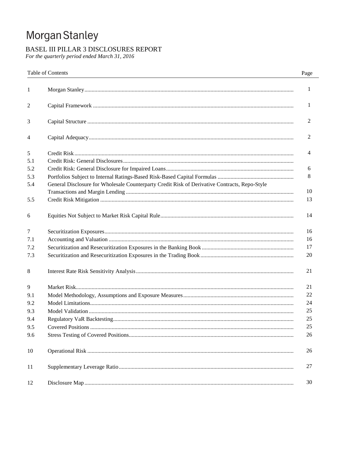## Morgan Stanley

## BASEL III PILLAR 3 DISCLOSURES REPORT

For the quarterly period ended March 31, 2016

|     | <b>Table of Contents</b>                                                                      | Page         |
|-----|-----------------------------------------------------------------------------------------------|--------------|
| 1   |                                                                                               | $\mathbf{1}$ |
| 2   |                                                                                               | 1            |
| 3   |                                                                                               | 2            |
| 4   |                                                                                               | 2            |
| 5   |                                                                                               | 4            |
| 5.1 |                                                                                               |              |
| 5.2 |                                                                                               | 6            |
| 5.3 |                                                                                               | 8            |
| 5.4 | General Disclosure for Wholesale Counterparty Credit Risk of Derivative Contracts, Repo-Style | 10           |
| 5.5 |                                                                                               | 13           |
| 6   |                                                                                               | 14           |
| 7   |                                                                                               | 16           |
| 7.1 |                                                                                               | 16           |
| 7.2 |                                                                                               | 17           |
| 7.3 |                                                                                               | 20           |
| 8   |                                                                                               | 21           |
| 9   |                                                                                               | 21           |
| 9.1 |                                                                                               | 22           |
| 9.2 |                                                                                               | 24           |
| 9.3 |                                                                                               | 25           |
| 9.4 |                                                                                               | 25           |
| 9.5 |                                                                                               | 25           |
| 9.6 |                                                                                               | 26           |
| 10  |                                                                                               | 26           |
| 11  |                                                                                               | 27           |
| 12  |                                                                                               | 30           |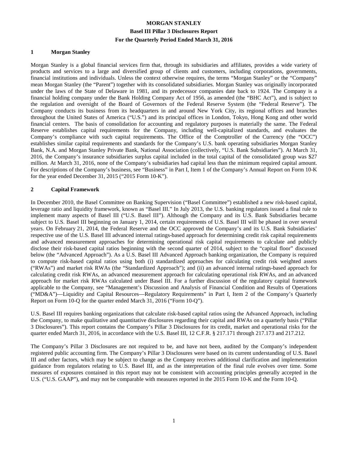#### **1 Morgan Stanley**

Morgan Stanley is a global financial services firm that, through its subsidiaries and affiliates, provides a wide variety of products and services to a large and diversified group of clients and customers, including corporations, governments, financial institutions and individuals. Unless the context otherwise requires, the terms "Morgan Stanley" or the "Company" mean Morgan Stanley (the "Parent") together with its consolidated subsidiaries. Morgan Stanley was originally incorporated under the laws of the State of Delaware in 1981, and its predecessor companies date back to 1924. The Company is a financial holding company under the Bank Holding Company Act of 1956, as amended (the "BHC Act"), and is subject to the regulation and oversight of the Board of Governors of the Federal Reserve System (the "Federal Reserve"). The Company conducts its business from its headquarters in and around New York City, its regional offices and branches throughout the United States of America ("U.S.") and its principal offices in London, Tokyo, Hong Kong and other world financial centers. The basis of consolidation for accounting and regulatory purposes is materially the same. The Federal Reserve establishes capital requirements for the Company, including well-capitalized standards, and evaluates the Company's compliance with such capital requirements. The Office of the Comptroller of the Currency (the "OCC") establishes similar capital requirements and standards for the Company's U.S. bank operating subsidiaries Morgan Stanley Bank, N.A. and Morgan Stanley Private Bank, National Association (collectively, "U.S. Bank Subsidiaries"). At March 31, 2016, the Company's insurance subsidiaries surplus capital included in the total capital of the consolidated group was \$27 million. At March 31, 2016, none of the Company's subsidiaries had capital less than the minimum required capital amount. For descriptions of the Company's business, see "Business" in Part I, Item 1 of the Company's Annual Report on Form 10-K for the year ended December 31, 2015 ("2015 Form 10-K").

#### **2 Capital Framework**

In December 2010, the Basel Committee on Banking Supervision ("Basel Committee") established a new risk-based capital, leverage ratio and liquidity framework, known as "Basel III." In July 2013, the U.S. banking regulators issued a final rule to implement many aspects of Basel III ("U.S. Basel III"). Although the Company and its U.S. Bank Subsidiaries became subject to U.S. Basel III beginning on January 1, 2014, certain requirements of U.S. Basel III will be phased in over several years. On February 21, 2014, the Federal Reserve and the OCC approved the Company's and its U.S. Bank Subsidiaries' respective use of the U.S. Basel III advanced internal ratings-based approach for determining credit risk capital requirements and advanced measurement approaches for determining operational risk capital requirements to calculate and publicly disclose their risk-based capital ratios beginning with the second quarter of 2014, subject to the "capital floor" discussed below (the "Advanced Approach"). As a U.S. Basel III Advanced Approach banking organization, the Company is required to compute risk-based capital ratios using both (i) standardized approaches for calculating credit risk weighted assets ("RWAs") and market risk RWAs (the "Standardized Approach"); and (ii) an advanced internal ratings-based approach for calculating credit risk RWAs, an advanced measurement approach for calculating operational risk RWAs, and an advanced approach for market risk RWAs calculated under Basel III. For a further discussion of the regulatory capital framework applicable to the Company, see "Management's Discussion and Analysis of Financial Condition and Results of Operations ("MD&A")—Liquidity and Capital Resources—Regulatory Requirements" in Part I, Item 2 of the Company's Quarterly Report on Form 10-Q for the quarter ended March 31, 2016 ("Form 10-Q").

U.S. Basel III requires banking organizations that calculate risk-based capital ratios using the Advanced Approach, including the Company, to make qualitative and quantitative disclosures regarding their capital and RWAs on a quarterly basis ("Pillar 3 Disclosures"). This report contains the Company's Pillar 3 Disclosures for its credit, market and operational risks for the quarter ended March 31, 2016, in accordance with the U.S. Basel III, 12 C.F.R. § 217.171 through 217.173 and 217.212.

The Company's Pillar 3 Disclosures are not required to be, and have not been, audited by the Company's independent registered public accounting firm. The Company's Pillar 3 Disclosures were based on its current understanding of U.S. Basel III and other factors, which may be subject to change as the Company receives additional clarification and implementation guidance from regulators relating to U.S. Basel III, and as the interpretation of the final rule evolves over time. Some measures of exposures contained in this report may not be consistent with accounting principles generally accepted in the U.S. ("U.S. GAAP"), and may not be comparable with measures reported in the 2015 Form 10-K and the Form 10-Q.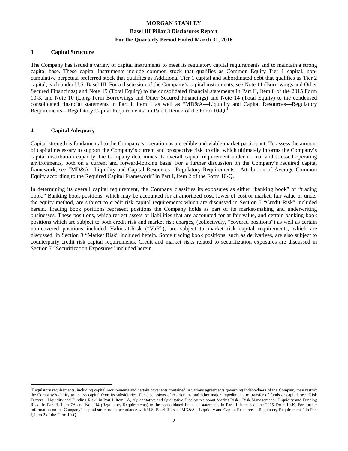#### **3 Capital Structure**

The Company has issued a variety of capital instruments to meet its regulatory capital requirements and to maintain a strong capital base. These capital instruments include common stock that qualifies as Common Equity Tier 1 capital, noncumulative perpetual preferred stock that qualifies as Additional Tier 1 capital and subordinated debt that qualifies as Tier 2 capital, each under U.S. Basel III. For a discussion of the Company's capital instruments, see Note 11 (Borrowings and Other Secured Financings) and Note 15 (Total Equity) to the consolidated financial statements in Part II, Item 8 of the 2015 Form 10-K and Note 10 (Long-Term Borrowings and Other Secured Financings) and Note 14 (Total Equity) to the condensed consolidated financial statements in Part I, Item 1 as well as "MD&A—Liquidity and Capital Resources—Regulatory Requirements—Regulatory Capital Requirements" in Part I, Item 2 of the Form 10-Q.<sup>1</sup>

#### **4 Capital Adequacy**

 $\overline{a}$ 

Capital strength is fundamental to the Company's operation as a credible and viable market participant. To assess the amount of capital necessary to support the Company's current and prospective risk profile, which ultimately informs the Company's capital distribution capacity, the Company determines its overall capital requirement under normal and stressed operating environments, both on a current and forward-looking basis. For a further discussion on the Company's required capital framework, see "MD&A—Liquidity and Capital Resources—Regulatory Requirements—Attribution of Average Common Equity according to the Required Capital Framework" in Part I, Item 2 of the Form 10-Q.

In determining its overall capital requirement, the Company classifies its exposures as either "banking book" or "trading book." Banking book positions, which may be accounted for at amortized cost, lower of cost or market, fair value or under the equity method, are subject to credit risk capital requirements which are discussed in Section 5 "Credit Risk" included herein. Trading book positions represent positions the Company holds as part of its market-making and underwriting businesses. These positions, which reflect assets or liabilities that are accounted for at fair value, and certain banking book positions which are subject to both credit risk and market risk charges, (collectively, "covered positions") as well as certain non-covered positions included Value-at-Risk ("VaR"), are subject to market risk capital requirements, which are discussed in Section 9 "Market Risk" included herein. Some trading book positions, such as derivatives, are also subject to counterparty credit risk capital requirements. Credit and market risks related to securitization exposures are discussed in Section 7 "Securitization Exposures" included herein.

<sup>&</sup>lt;sup>1</sup>Regulatory requirements, including capital requirements and certain covenants contained in various agreements governing indebtedness of the Company may restrict the Company's ability to access capital from its subsidiaries. For discussions of restrictions and other major impediments to transfer of funds or capital, see "Risk Factors—Liquidity and Funding Risk" in Part I, Item 1A, "Quantitative and Qualitative Disclosures about Market Risk—Risk Management—Liquidity and Funding Risk" in Part II, Item 7A and Note 14 (Regulatory Requirements) to the consolidated financial statements in Part II, Item 8 of the 2015 Form 10-K. For further information on the Company's capital structure in accordance with U.S. Basel III, see "MD&A—Liquidity and Capital Resources—Regulatory Requirements" in Part I, Item 2 of the Form 10-Q.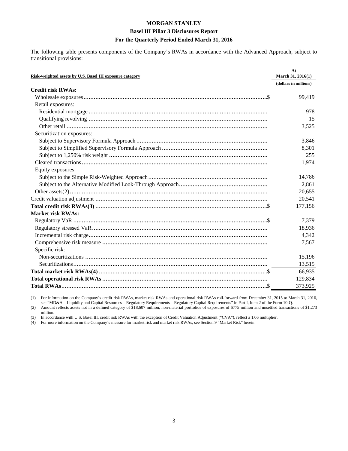The following table presents components of the Company's RWAs in accordance with the Advanced Approach, subject to transitional provisions:

| Risk-weighted assets by U.S. Basel III exposure category | At<br>March 31, 2016(1) |
|----------------------------------------------------------|-------------------------|
|                                                          | (dollars in millions)   |
| <b>Credit risk RWAs:</b>                                 |                         |
|                                                          | 99,419                  |
| Retail exposures:                                        |                         |
|                                                          | 978                     |
|                                                          | 15                      |
|                                                          | 3,525                   |
| Securitization exposures:                                |                         |
|                                                          | 3,846                   |
|                                                          | 8.301                   |
|                                                          | 255                     |
|                                                          | 1,974                   |
| Equity exposures:                                        |                         |
|                                                          | 14,786                  |
|                                                          | 2,861                   |
|                                                          | 20,655                  |
|                                                          | 20,541                  |
|                                                          | 177,156                 |
| <b>Market risk RWAs:</b>                                 |                         |
|                                                          | 7,379                   |
|                                                          | 18,936                  |
|                                                          | 4,342                   |
|                                                          | 7,567                   |
| Specific risk:                                           |                         |
|                                                          | 15,196                  |
|                                                          | 13,515                  |
|                                                          | 66,935                  |
|                                                          | 129,834                 |
|                                                          | 373,925                 |

 $\overline{\phantom{a}}$  , where  $\overline{\phantom{a}}$ (1) For information on the Company's credit risk RWAs, market risk RWAs and operational risk RWAs roll-forward from December 31, 2015 to March 31, 2016, see "MD&A—Liquidity and Capital Resources—Regulatory Requirements—Regulatory Capital Requirements" in Part I, Item 2 of the Form 10-Q.

(2) Amount reflects assets not in a defined category of \$18,607 million, non-material portfolios of exposures of \$775 million and unsettled transactions of \$1,273 million.

(3) In accordance with U.S. Basel III, credit risk RWAs with the exception of Credit Valuation Adjustment ("CVA"), reflect a 1.06 multiplier.

(4) For more information on the Company's measure for market risk and market risk RWAs, see Section 9 "Market Risk" herein.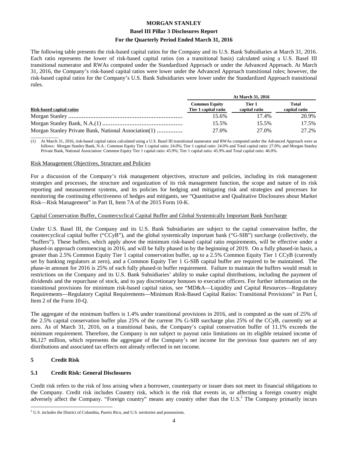#### **Basel III Pillar 3 Disclosures Report**

#### **For the Quarterly Period Ended March 31, 2016**

The following table presents the risk-based capital ratios for the Company and its U.S. Bank Subsidiaries at March 31, 2016. Each ratio represents the lower of risk-based capital ratios (on a transitional basis) calculated using a U.S. Basel III transitional numerator and RWAs computed under the Standardized Approach or under the Advanced Approach. At March 31, 2016, the Company's risk-based capital ratios were lower under the Advanced Approach transitional rules; however, the risk-based capital ratios for the Company's U.S. Bank Subsidiaries were lower under the Standardized Approach transitional rules.

|                                                      | <b>At March 31, 2016</b>                     |                         |                               |  |  |  |
|------------------------------------------------------|----------------------------------------------|-------------------------|-------------------------------|--|--|--|
| Risk-based capital ratios                            | <b>Common Equity</b><br>Tier 1 capital ratio | Tier 1<br>capital ratio | <b>Total</b><br>capital ratio |  |  |  |
|                                                      | 15.6%                                        | 17.4%                   | 20.9%                         |  |  |  |
|                                                      | 15.5%                                        | 15.5%                   | 17.5%                         |  |  |  |
| Morgan Stanley Private Bank, National Association(1) | 27.0%                                        | 27.0%                   | 27.2%                         |  |  |  |

 $\overline{\phantom{a}}$  , where  $\overline{\phantom{a}}$ (1) At March 31, 2016, risk-based capital ratios calculated using a U.S. Basel III transitional numerator and RWAs computed under the Advanced Approach were as follows: Morgan Stanley Bank, N.A.: Common Equity Tier 1 capital ratio: 24.0%; Tier 1 capital ratio: 24.0% and Total capital ratio: 27.0%; and Morgan Stanley Private Bank, National Association: Common Equity Tier 1 capital ratio: 45.9%; Tier 1 capital ratio: 45.9% and Total capital ratio: 46.0%.

#### Risk Management Objectives, Structure and Policies

For a discussion of the Company's risk management objectives, structure and policies, including its risk management strategies and processes, the structure and organization of its risk management function, the scope and nature of its risk reporting and measurement systems, and its policies for hedging and mitigating risk and strategies and processes for monitoring the continuing effectiveness of hedges and mitigants, see "Quantitative and Qualitative Disclosures about Market Risk—Risk Management" in Part II, Item 7A of the 2015 Form 10-K.

#### Capital Conservation Buffer, Countercyclical Capital Buffer and Global Systemically Important Bank Surcharge

Under U.S. Basel III, the Company and its U.S. Bank Subsidiaries are subject to the capital conservation buffer, the countercyclical capital buffer ("CCyB"), and the global systemically important bank ("G-SIB") surcharge (collectively, the "buffers"). These buffers, which apply above the minimum risk-based capital ratio requirements, will be effective under a phased-in approach commencing in 2016, and will be fully phased in by the beginning of 2019. On a fully phased-in basis, a greater than 2.5% Common Equity Tier 1 capital conservation buffer, up to a 2.5% Common Equity Tier 1 CCyB (currently set by banking regulators at zero), and a Common Equity Tier 1 G-SIB capital buffer are required to be maintained. The phase-in amount for 2016 is 25% of each fully phased-in buffer requirement. Failure to maintain the buffers would result in restrictions on the Company and its U.S. Bank Subsidiaries' ability to make capital distributions, including the payment of dividends and the repurchase of stock, and to pay discretionary bonuses to executive officers. For further information on the transitional provisions for minimum risk-based capital ratios, see "MD&A—Liquidity and Capital Resources—Regulatory Requirements—Regulatory Capital Requirements—Minimum Risk-Based Capital Ratios: Transitional Provisions" in Part I, Item 2 of the Form 10-Q.

The aggregate of the minimum buffers is 1.4% under transitional provisions in 2016, and is computed as the sum of 25% of the 2.5% capital conservation buffer plus 25% of the current 3% G-SIB surcharge plus 25% of the CCyB, currently set at zero. As of March 31, 2016, on a transitional basis, the Company's capital conservation buffer of 11.1% exceeds the minimum requirement. Therefore, the Company is not subject to payout ratio limitations on its eligible retained income of \$6,127 million, which represents the aggregate of the Company's net income for the previous four quarters net of any distributions and associated tax effects not already reflected in net income.

#### **5 Credit Risk**

#### **5.1 Credit Risk: General Disclosures**

Credit risk refers to the risk of loss arising when a borrower, counterparty or issuer does not meet its financial obligations to the Company. Credit risk includes Country risk, which is the risk that events in, or affecting a foreign country might adversely affect the Company. "Foreign country" means any country other than the U.S.<sup>2</sup> The Company primarily incurs

 $\overline{a}$  $2^2$  U.S. includes the District of Columbia, Puerto Rico, and U.S. territories and possessions.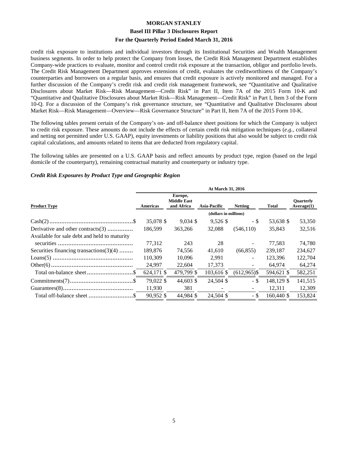## **MORGAN STANLEY Basel III Pillar 3 Disclosures Report**

#### **For the Quarterly Period Ended March 31, 2016**

credit risk exposure to institutions and individual investors through its Institutional Securities and Wealth Management business segments. In order to help protect the Company from losses, the Credit Risk Management Department establishes Company-wide practices to evaluate, monitor and control credit risk exposure at the transaction, obligor and portfolio levels. The Credit Risk Management Department approves extensions of credit, evaluates the creditworthiness of the Company's counterparties and borrowers on a regular basis, and ensures that credit exposure is actively monitored and managed. For a further discussion of the Company's credit risk and credit risk management framework, see "Quantitative and Qualitative Disclosures about Market Risk—Risk Management—Credit Risk" in Part II, Item 7A of the 2015 Form 10-K and "Quantitative and Qualitative Disclosures about Market Risk—Risk Management—Credit Risk" in Part I, Item 3 of the Form 10-Q. For a discussion of the Company's risk governance structure, see "Quantitative and Qualitative Disclosures about Market Risk—Risk Management—Overview—Risk Governance Structure" in Part II, Item 7A of the 2015 Form 10-K.

The following tables present certain of the Company's on- and off-balance sheet positions for which the Company is subject to credit risk exposure. These amounts do not include the effects of certain credit risk mitigation techniques (*e.g.*, collateral and netting not permitted under U.S. GAAP), equity investments or liability positions that also would be subject to credit risk capital calculations, and amounts related to items that are deducted from regulatory capital.

The following tables are presented on a U.S. GAAP basis and reflect amounts by product type, region (based on the legal domicile of the counterparty), remaining contractual maturity and counterparty or industry type.

#### *Credit Risk Exposures by Product Type and Geographic Region*

|                                              | At March 31, 2016 |                                             |                     |                |              |                                |  |  |  |
|----------------------------------------------|-------------------|---------------------------------------------|---------------------|----------------|--------------|--------------------------------|--|--|--|
| <b>Product Type</b>                          | Americas          | Europe,<br><b>Middle East</b><br>and Africa | <b>Asia-Pacific</b> | <b>Netting</b> | <b>Total</b> | <b>Ouarterly</b><br>Average(1) |  |  |  |
|                                              |                   | (dollars in millions)                       |                     |                |              |                                |  |  |  |
|                                              | 35,078 \$         | $9,034$ \$                                  | $9,526$ \$          | - \$           | 53,638 \$    | 53,350                         |  |  |  |
| Derivative and other contracts(3)            | 186,599           | 363,266                                     | 32,088              | (546, 110)     | 35,843       | 32,516                         |  |  |  |
| Available for sale debt and held to maturity |                   |                                             |                     |                |              |                                |  |  |  |
|                                              | 77,312            | 243                                         | 28                  |                | 77,583       | 74,780                         |  |  |  |
| Securities financing transactions $(3)(4)$   | 189,876           | 74,556                                      | 41,610              | (66, 855)      | 239.187      | 234,627                        |  |  |  |
|                                              | 110,309           | 10,096                                      | 2,991               | $\sim$         | 123,396      | 122,704                        |  |  |  |
|                                              | 24,997            | 22,604                                      | 17,373              | $\blacksquare$ | 64,974       | 64,274                         |  |  |  |
|                                              | 624,171 \$        | 479,799 \$                                  | 103,616 \$          | $(612,965)$ \$ | 594,621 \$   | 582,251                        |  |  |  |
|                                              | 79,022 \$         | 44,603 \$                                   | 24,504 \$           | - \$           | 148,129 \$   | 141,515                        |  |  |  |
|                                              | 11,930            | 381                                         |                     |                | 12,311       | 12,309                         |  |  |  |
|                                              | 90,952 \$         | 44,984 \$                                   | 24,504 \$           | - \$           | 160,440 \$   | 153,824                        |  |  |  |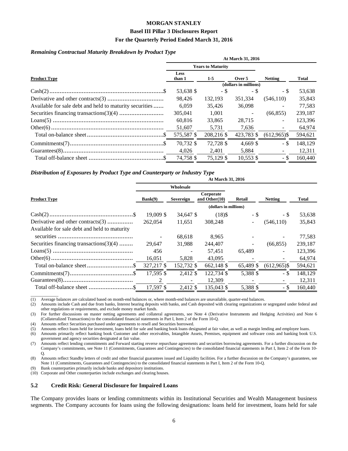#### **Basel III Pillar 3 Disclosures Report**

#### **For the Quarterly Period Ended March 31, 2016**

#### *Remaining Contractual Maturity Breakdown by Product Type*

|                                                         | At March 31, 2016     |                          |                       |                          |         |  |  |  |
|---------------------------------------------------------|-----------------------|--------------------------|-----------------------|--------------------------|---------|--|--|--|
|                                                         |                       | <b>Years to Maturity</b> |                       |                          |         |  |  |  |
| <b>Product Type</b>                                     | <b>Less</b><br>than 1 | $1-5$                    | Over 5                | <b>Netting</b>           | Total   |  |  |  |
|                                                         |                       |                          | (dollars in millions) |                          |         |  |  |  |
|                                                         | 53,638 \$             | - \$                     | - \$                  | - \$                     | 53,638  |  |  |  |
|                                                         | 98.426                | 132,193                  | 351.334               | (546,110)                | 35,843  |  |  |  |
| Available for sale debt and held to maturity securities | 6.059                 | 35.426                   | 36,098                |                          | 77,583  |  |  |  |
|                                                         | 305,041               | 1.001                    |                       | (66, 855)                | 239,187 |  |  |  |
|                                                         | 60,816                | 33,865                   | 28.715                | $\overline{\phantom{0}}$ | 123,396 |  |  |  |
|                                                         | 51,607                | 5,731                    | 7,636                 |                          | 64,974  |  |  |  |
|                                                         | 575,587 \$            | 208,216 \$               | 423,783 \$            | $(612,965)$ \$           | 594,621 |  |  |  |
|                                                         | 70.732 \$             | 72.728 \$                | $4.669$ \$            | - \$                     | 148.129 |  |  |  |
|                                                         | 4.026                 | 2.401                    | 5,884                 |                          | 12,311  |  |  |  |
|                                                         | 74.758 \$             | 75.129 \$                | $10.553$ \$           | - \$                     | 160,440 |  |  |  |

#### *Distribution of Exposures by Product Type and Counterparty or Industry Type*

| At March 31, 2016                            |            |            |                               |           |                |         |  |  |  |
|----------------------------------------------|------------|------------|-------------------------------|-----------|----------------|---------|--|--|--|
|                                              |            | Wholesale  |                               |           |                |         |  |  |  |
| <b>Product Type</b>                          | Bank(9)    | Sovereign  | Corporate<br>and Other $(10)$ | Retail    | <b>Netting</b> | Total   |  |  |  |
|                                              |            |            | (dollars in millions)         |           |                |         |  |  |  |
|                                              | 19,009 \$  | 34,647 \$  | $(18)$ \$                     | - \$      | - \$           | 53,638  |  |  |  |
| Derivative and other contracts(3)            | 262,054    | 11,651     | 308,248                       |           | (546, 110)     | 35,843  |  |  |  |
| Available for sale debt and held to maturity |            |            |                               |           |                |         |  |  |  |
|                                              |            | 68,618     | 8,965                         |           |                | 77,583  |  |  |  |
| Securities financing transactions $(3)(4)$   | 29.647     | 31,988     | 244,407                       |           | (66, 855)      | 239,187 |  |  |  |
|                                              | 456        |            | 57,451                        | 65,489    |                | 123,396 |  |  |  |
|                                              | 16,051     | 5,828      | 43,095                        |           |                | 64,974  |  |  |  |
| Total on-balance sheet\$                     | 327,217 \$ | 152,732 \$ | 662,148 \$                    | 65,489 \$ | $(612,965)$ \$ | 594,621 |  |  |  |
|                                              | 17,595 \$  | 2,412 \$   | 122,734 \$                    | 5,388 \$  | - \$           | 148,129 |  |  |  |
|                                              | 2          |            | 12,309                        |           |                | 12,311  |  |  |  |
| Total off-balance sheet \$                   | 17,597 \$  | 2,412 \$   | 135,043 \$                    | 5,388 \$  | - \$           | 160,440 |  |  |  |

(1) Average balances are calculated based on month-end balances or, where month-end balances are unavailable, quarter-end balances.

(2) Amounts include Cash and due from banks, Interest bearing deposits with banks, and Cash deposited with clearing organizations or segregated under federal and other regulations or requirements, and exclude money market funds.

(3) For further discussions on master netting agreements and collateral agreements, see Note 4 (Derivative Instruments and Hedging Activities) and Note 6 (Collateralized Transactions) to the consolidated financial statements in Part I, Item 2 of the Form 10-Q.

(4) Amounts reflect Securities purchased under agreements to resell and Securities borrowed.

(5) Amounts reflect loans held for investment, loans held for sale and banking book loans designated at fair value, as well as margin lending and employee loans.

(6) Amounts primarily reflect banking book Customer and other receivables, Intangible Assets, Premises, equipment and software costs and banking book U.S. government and agency securities designated at fair value.

(7) Amounts reflect lending commitments and Forward starting reverse repurchase agreements and securities borrowing agreements. For a further discussion on the Company's commitments, see Note 11 (Commitments, Guarantees and Contingencies) to the consolidated financial statements in Part I, Item 2 of the Form 10- Q.

(8) Amounts reflect Standby letters of credit and other financial guarantees issued and Liquidity facilities. For a further discussion on the Company's guarantees, see Note 11 (Commitments, Guarantees and Contingencies) to the consolidated financial statements in Part I, Item 2 of the Form 10-Q.

(9) Bank counterparties primarily include banks and depository institutions.

 $\overline{\phantom{a}}$  , where  $\overline{\phantom{a}}$ 

(10) Corporate and Other counterparties include exchanges and clearing houses.

#### **5.2 Credit Risk: General Disclosure for Impaired Loans**

The Company provides loans or lending commitments within its Institutional Securities and Wealth Management business segments. The Company accounts for loans using the following designations: loans held for investment, loans held for sale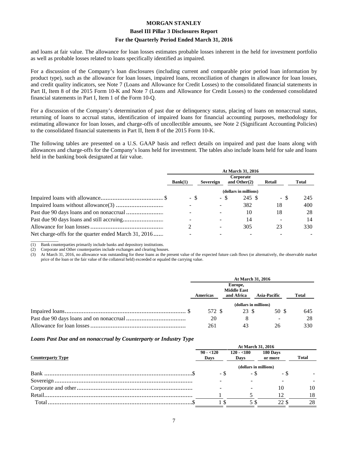#### **Basel III Pillar 3 Disclosures Report**

#### **For the Quarterly Period Ended March 31, 2016**

and loans at fair value. The allowance for loan losses estimates probable losses inherent in the held for investment portfolio as well as probable losses related to loans specifically identified as impaired.

For a discussion of the Company's loan disclosures (including current and comparable prior period loan information by product type), such as the allowance for loan losses, impaired loans, reconciliation of changes in allowance for loan losses, and credit quality indicators, see Note 7 (Loans and Allowance for Credit Losses) to the consolidated financial statements in Part II, Item 8 of the 2015 Form 10-K and Note 7 (Loans and Allowance for Credit Losses) to the condensed consolidated financial statements in Part I, Item 1 of the Form 10-Q.

For a discussion of the Company's determination of past due or delinquency status, placing of loans on nonaccrual status, returning of loans to accrual status, identification of impaired loans for financial accounting purposes, methodology for estimating allowance for loan losses, and charge-offs of uncollectible amounts, see Note 2 (Significant Accounting Policies) to the consolidated financial statements in Part II, Item 8 of the 2015 Form 10-K.

The following tables are presented on a U.S. GAAP basis and reflect details on impaired and past due loans along with allowances and charge-offs for the Company's loans held for investment. The tables also include loans held for sale and loans held in the banking book designated at fair value.

|                                                      | At March 31, 2016 |           |                              |               |       |  |  |  |
|------------------------------------------------------|-------------------|-----------|------------------------------|---------------|-------|--|--|--|
|                                                      | Bank(1)           | Sovereign | Corporate<br>and Other $(2)$ | <b>Retail</b> | Total |  |  |  |
|                                                      |                   |           | (dollars in millions)        |               |       |  |  |  |
|                                                      | - \$              |           | 245 \$<br>- \$               | - \$          | 245   |  |  |  |
|                                                      |                   |           | 382                          | 18            | 400   |  |  |  |
|                                                      |                   |           | 10                           | 18            | 28    |  |  |  |
|                                                      |                   |           | 14                           |               | 14    |  |  |  |
|                                                      |                   |           | 305                          | 23            | 330   |  |  |  |
| Net charge-offs for the quarter ended March 31, 2016 |                   |           |                              |               |       |  |  |  |

 $\overline{\phantom{a}}$  , where  $\overline{\phantom{a}}$ (1) Bank counterparties primarily include banks and depository institutions.

(2) Corporate and Other counterparties include exchanges and clearing houses.

(3) At March 31, 2016, no allowance was outstanding for these loans as the present value of the expected future cash flows (or alternatively, the observable market price of the loan or the fair value of the collateral held) exceeded or equaled the carrying value.

| At March 31, 2016     |                                             |  |                     |              |  |  |
|-----------------------|---------------------------------------------|--|---------------------|--------------|--|--|
| <b>Americas</b>       | Europe,<br><b>Middle East</b><br>and Africa |  | <b>Asia-Pacific</b> | <b>Total</b> |  |  |
| (dollars in millions) |                                             |  |                     |              |  |  |
| 572 \$                | 23 \$                                       |  | 50 \$               | 645          |  |  |
| 20                    |                                             |  |                     | 28           |  |  |
| 261                   | 43                                          |  | 26                  | 330          |  |  |

#### *Loans Past Due and on nonaccrual by Counterparty or Industry Type*

|                          | At March 31, 2016     |                     |                     |              |  |  |  |  |  |
|--------------------------|-----------------------|---------------------|---------------------|--------------|--|--|--|--|--|
| <b>Counterparty Type</b> | $90 - 120$<br>Days    | $120 - 180$<br>Days | 180 Days<br>or more | <b>Total</b> |  |  |  |  |  |
|                          | (dollars in millions) |                     |                     |              |  |  |  |  |  |
|                          |                       | - \$                |                     |              |  |  |  |  |  |
|                          |                       |                     |                     |              |  |  |  |  |  |
|                          |                       |                     | 10                  | 10           |  |  |  |  |  |
|                          |                       |                     |                     | 18           |  |  |  |  |  |
| Total                    |                       |                     |                     | 28           |  |  |  |  |  |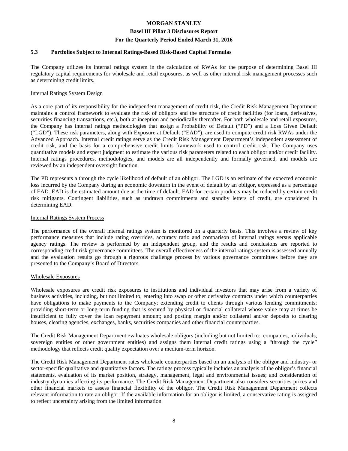#### **Basel III Pillar 3 Disclosures Report**

#### **For the Quarterly Period Ended March 31, 2016**

#### **5.3 Portfolios Subject to Internal Ratings-Based Risk-Based Capital Formulas**

The Company utilizes its internal ratings system in the calculation of RWAs for the purpose of determining Basel III regulatory capital requirements for wholesale and retail exposures, as well as other internal risk management processes such as determining credit limits.

#### Internal Ratings System Design

As a core part of its responsibility for the independent management of credit risk, the Credit Risk Management Department maintains a control framework to evaluate the risk of obligors and the structure of credit facilities (for loans, derivatives, securities financing transactions, etc.), both at inception and periodically thereafter. For both wholesale and retail exposures, the Company has internal ratings methodologies that assign a Probability of Default ("PD") and a Loss Given Default ("LGD"). These risk parameters, along with Exposure at Default ("EAD"), are used to compute credit risk RWAs under the Advanced Approach. Internal credit ratings serve as the Credit Risk Management Department's independent assessment of credit risk, and the basis for a comprehensive credit limits framework used to control credit risk. The Company uses quantitative models and expert judgment to estimate the various risk parameters related to each obligor and/or credit facility. Internal ratings procedures, methodologies, and models are all independently and formally governed, and models are reviewed by an independent oversight function.

The PD represents a through the cycle likelihood of default of an obligor. The LGD is an estimate of the expected economic loss incurred by the Company during an economic downturn in the event of default by an obligor, expressed as a percentage of EAD. EAD is the estimated amount due at the time of default. EAD for certain products may be reduced by certain credit risk mitigants. Contingent liabilities, such as undrawn commitments and standby letters of credit, are considered in determining EAD.

#### Internal Ratings System Process

The performance of the overall internal ratings system is monitored on a quarterly basis. This involves a review of key performance measures that include rating overrides, accuracy ratio and comparison of internal ratings versus applicable agency ratings. The review is performed by an independent group, and the results and conclusions are reported to corresponding credit risk governance committees. The overall effectiveness of the internal ratings system is assessed annually and the evaluation results go through a rigorous challenge process by various governance committees before they are presented to the Company's Board of Directors.

#### Wholesale Exposures

Wholesale exposures are credit risk exposures to institutions and individual investors that may arise from a variety of business activities, including, but not limited to, entering into swap or other derivative contracts under which counterparties have obligations to make payments to the Company; extending credit to clients through various lending commitments; providing short-term or long-term funding that is secured by physical or financial collateral whose value may at times be insufficient to fully cover the loan repayment amount; and posting margin and/or collateral and/or deposits to clearing houses, clearing agencies, exchanges, banks, securities companies and other financial counterparties.

The Credit Risk Management Department evaluates wholesale obligors (including but not limited to: companies, individuals, sovereign entities or other government entities) and assigns them internal credit ratings using a "through the cycle" methodology that reflects credit quality expectation over a medium-term horizon.

The Credit Risk Management Department rates wholesale counterparties based on an analysis of the obligor and industry- or sector-specific qualitative and quantitative factors. The ratings process typically includes an analysis of the obligor's financial statements, evaluation of its market position, strategy, management, legal and environmental issues; and consideration of industry dynamics affecting its performance. The Credit Risk Management Department also considers securities prices and other financial markets to assess financial flexibility of the obligor. The Credit Risk Management Department collects relevant information to rate an obligor. If the available information for an obligor is limited, a conservative rating is assigned to reflect uncertainty arising from the limited information.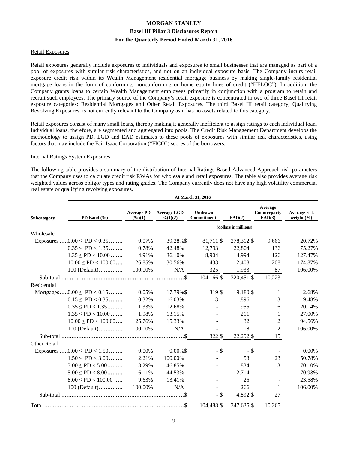#### Retail Exposures

Retail exposures generally include exposures to individuals and exposures to small businesses that are managed as part of a pool of exposures with similar risk characteristics, and not on an individual exposure basis. The Company incurs retail exposure credit risk within its Wealth Management residential mortgage business by making single-family residential mortgage loans in the form of conforming, nonconforming or home equity lines of credit ("HELOC"). In addition, the Company grants loans to certain Wealth Management employees primarily in conjunction with a program to retain and recruit such employees. The primary source of the Company's retail exposure is concentrated in two of three Basel III retail exposure categories: Residential Mortgages and Other Retail Exposures. The third Basel III retail category, Qualifying Revolving Exposures, is not currently relevant to the Company as it has no assets related to this category.

Retail exposures consist of many small loans, thereby making it generally inefficient to assign ratings to each individual loan. Individual loans, therefore, are segmented and aggregated into pools. The Credit Risk Management Department develops the methodology to assign PD, LGD and EAD estimates to these pools of exposures with similar risk characteristics, using factors that may include the Fair Isaac Corporation ("FICO") scores of the borrowers.

#### Internal Ratings System Exposures

The following table provides a summary of the distribution of Internal Ratings Based Advanced Approach risk parameters that the Company uses to calculate credit risk RWAs for wholesale and retail exposures. The table also provides average risk weighted values across obligor types and rating grades. The Company currently does not have any high volatility commercial real estate or qualifying revolving exposures.

|              | At March 31, 2016               |                                         |                                |                       |                       |                                   |                                |  |  |  |
|--------------|---------------------------------|-----------------------------------------|--------------------------------|-----------------------|-----------------------|-----------------------------------|--------------------------------|--|--|--|
| Subcategory  | PD Band $(\%$                   | <b>Average PD</b><br>$(\frac{6}{6})(1)$ | <b>Average LGD</b><br>% (1)(2) | Undrawn<br>Commitment | EAD(2)                | Average<br>Counterparty<br>EAD(3) | Average risk<br>weight $(\% )$ |  |  |  |
|              |                                 |                                         |                                |                       | (dollars in millions) |                                   |                                |  |  |  |
| Wholesale    |                                 |                                         |                                |                       |                       |                                   |                                |  |  |  |
|              | Exposures $0.00 \leq PD < 0.35$ | 0.07%                                   | 39.28%\$                       | 81,711 \$             | 278,312 \$            | 9,666                             | 20.72%                         |  |  |  |
|              | $0.35 \leq P D < 1.35$          | 0.78%                                   | 42.48%                         | 12,793                | 22,804                | 136                               | 75.27%                         |  |  |  |
|              | $1.35 \leq PD < 10.00$          | 4.91%                                   | 36.10%                         | 8,904                 | 14,994                | 126                               | 127.47%                        |  |  |  |
|              | $10.00 \leq PD < 100.00 \ldots$ | 26.85%                                  | 30.56%                         | 433                   | 2,408                 | 208                               | 174.87%                        |  |  |  |
|              | 100 (Default)                   | 100.00%                                 | N/A                            | 325                   | 1,933                 | 87                                | 106.00%                        |  |  |  |
|              |                                 |                                         |                                | 104,166 \$            | 320,451 \$            | 10,223                            |                                |  |  |  |
| Residential  |                                 |                                         |                                |                       |                       |                                   |                                |  |  |  |
|              | Mortgages $0.00 \leq PD < 0.15$ | 0.05%                                   | 17.79%\$                       | 319 \$                | 19,180 \$             | 1                                 | 2.68%                          |  |  |  |
|              | $0.15 \leq P D < 0.35$          | 0.32%                                   | 16.03%                         | 3                     | 1,896                 | 3                                 | 9.48%                          |  |  |  |
|              | $0.35 \leq PD < 1.35$           | 1.33%                                   | 12.68%                         | $\blacksquare$        | 955                   | 6                                 | 20.14%                         |  |  |  |
|              | $1.35 \leq PD < 10.00$          | 1.98%                                   | 13.15%                         |                       | 211                   | 1                                 | 27.00%                         |  |  |  |
|              | $10.00 \leq PD < 100.00 \ldots$ | 25.76%                                  | 15.33%                         |                       | 32                    | 2                                 | 94.56%                         |  |  |  |
|              | 100 (Default)                   | 100.00%                                 | N/A                            |                       | 18                    | 2                                 | 106.00%                        |  |  |  |
|              |                                 |                                         |                                | 322 \$                | 22,292 \$             | 15                                |                                |  |  |  |
| Other Retail |                                 |                                         |                                |                       |                       |                                   |                                |  |  |  |
|              | Exposures $0.00 \leq PD < 1.50$ | 0.00%                                   | $0.00\%$ \$                    | - \$                  | - \$                  |                                   | 0.00%                          |  |  |  |
|              | $1.50 \leq PD < 3.00$           | 2.21%                                   | 100.00%                        |                       | 53                    | 23                                | 50.78%                         |  |  |  |
|              | $3.00 \leq PD < 5.00$           | 3.29%                                   | 46.85%                         |                       | 1,834                 | 3                                 | 70.10%                         |  |  |  |
|              | $5.00 \leq PD < 8.00$           | 6.11%                                   | 44.53%                         |                       | 2,714                 |                                   | 70.93%                         |  |  |  |
|              | $8.00 \leq PD < 100.00$         | 9.63%                                   | 13.41%                         |                       | 25                    |                                   | 23.58%                         |  |  |  |
|              | $100$ (Default)                 | 100.00%                                 | N/A                            |                       | 266                   |                                   | 106.00%                        |  |  |  |
|              |                                 |                                         |                                | $-$ \$                | 4,892 \$              | 27                                |                                |  |  |  |
|              |                                 |                                         |                                | 104,488 \$            | 347,635 \$            | 10,265                            |                                |  |  |  |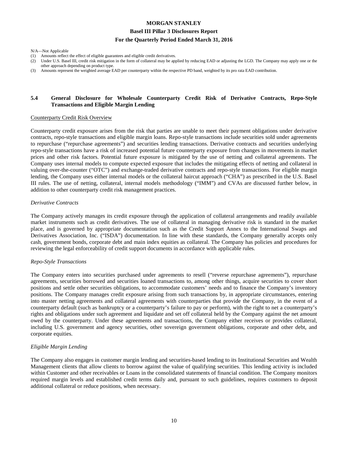#### **Basel III Pillar 3 Disclosures Report**

#### **For the Quarterly Period Ended March 31, 2016**

N/A—Not Applicable

- (1) Amounts reflect the effect of eligible guarantees and eligible credit derivatives.
- (2) Under U.S. Basel III, credit risk mitigation in the form of collateral may be applied by reducing EAD or adjusting the LGD. The Company may apply one or the other approach depending on product type.
- (3) Amounts represent the weighted average EAD per counterparty within the respective PD band, weighted by its pro rata EAD contribution.

#### **5.4 General Disclosure for Wholesale Counterparty Credit Risk of Derivative Contracts, Repo-Style Transactions and Eligible Margin Lending**

#### Counterparty Credit Risk Overview

Counterparty credit exposure arises from the risk that parties are unable to meet their payment obligations under derivative contracts, repo-style transactions and eligible margin loans. Repo-style transactions include securities sold under agreements to repurchase ("repurchase agreements") and securities lending transactions. Derivative contracts and securities underlying repo-style transactions have a risk of increased potential future counterparty exposure from changes in movements in market prices and other risk factors. Potential future exposure is mitigated by the use of netting and collateral agreements. The Company uses internal models to compute expected exposure that includes the mitigating effects of netting and collateral in valuing over-the-counter ("OTC") and exchange-traded derivative contracts and repo-style transactions. For eligible margin lending, the Company uses either internal models or the collateral haircut approach ("CHA") as prescribed in the U.S. Basel III rules. The use of netting, collateral, internal models methodology ("IMM") and CVAs are discussed further below, in addition to other counterparty credit risk management practices.

#### *Derivative Contracts*

The Company actively manages its credit exposure through the application of collateral arrangements and readily available market instruments such as credit derivatives. The use of collateral in managing derivative risk is standard in the market place, and is governed by appropriate documentation such as the Credit Support Annex to the International Swaps and Derivatives Association, Inc. ("ISDA") documentation. In line with these standards, the Company generally accepts only cash, government bonds, corporate debt and main index equities as collateral. The Company has policies and procedures for reviewing the legal enforceability of credit support documents in accordance with applicable rules.

#### *Repo-Style Transactions*

The Company enters into securities purchased under agreements to resell ("reverse repurchase agreements"), repurchase agreements, securities borrowed and securities loaned transactions to, among other things, acquire securities to cover short positions and settle other securities obligations, to accommodate customers' needs and to finance the Company's inventory positions. The Company manages credit exposure arising from such transactions by, in appropriate circumstances, entering into master netting agreements and collateral agreements with counterparties that provide the Company, in the event of a counterparty default (such as bankruptcy or a counterparty's failure to pay or perform), with the right to net a counterparty's rights and obligations under such agreement and liquidate and set off collateral held by the Company against the net amount owed by the counterparty. Under these agreements and transactions, the Company either receives or provides collateral, including U.S. government and agency securities, other sovereign government obligations, corporate and other debt, and corporate equities.

#### *Eligible Margin Lending*

The Company also engages in customer margin lending and securities-based lending to its Institutional Securities and Wealth Management clients that allow clients to borrow against the value of qualifying securities. This lending activity is included within Customer and other receivables or Loans in the consolidated statements of financial condition. The Company monitors required margin levels and established credit terms daily and, pursuant to such guidelines, requires customers to deposit additional collateral or reduce positions, when necessary.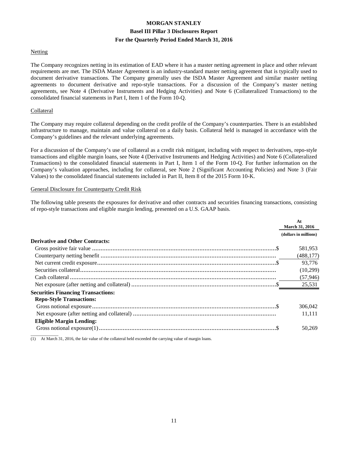#### **Netting**

The Company recognizes netting in its estimation of EAD where it has a master netting agreement in place and other relevant requirements are met. The ISDA Master Agreement is an industry-standard master netting agreement that is typically used to document derivative transactions. The Company generally uses the ISDA Master Agreement and similar master netting agreements to document derivative and repo-style transactions. For a discussion of the Company's master netting agreements, see Note 4 (Derivative Instruments and Hedging Activities) and Note 6 (Collateralized Transactions) to the consolidated financial statements in Part I, Item 1 of the Form 10-Q.

#### Collateral

The Company may require collateral depending on the credit profile of the Company's counterparties. There is an established infrastructure to manage, maintain and value collateral on a daily basis. Collateral held is managed in accordance with the Company's guidelines and the relevant underlying agreements.

For a discussion of the Company's use of collateral as a credit risk mitigant, including with respect to derivatives, repo-style transactions and eligible margin loans, see Note 4 (Derivative Instruments and Hedging Activities) and Note 6 (Collateralized Transactions) to the consolidated financial statements in Part I, Item 1 of the Form 10-Q. For further information on the Company's valuation approaches, including for collateral, see Note 2 (Significant Accounting Policies) and Note 3 (Fair Values) to the consolidated financial statements included in Part II, Item 8 of the 2015 Form 10-K.

#### General Disclosure for Counterparty Credit Risk

The following table presents the exposures for derivative and other contracts and securities financing transactions, consisting of repo-style transactions and eligible margin lending, presented on a U.S. GAAP basis.

|                                           | At<br><b>March 31, 2016</b> |
|-------------------------------------------|-----------------------------|
|                                           | (dollars in millions)       |
| <b>Derivative and Other Contracts:</b>    |                             |
|                                           | 581,953                     |
|                                           | (488, 177)                  |
|                                           | 93,776                      |
|                                           | (10,299)                    |
|                                           | (57, 946)                   |
|                                           | 25,531                      |
| <b>Securities Financing Transactions:</b> |                             |
| <b>Repo-Style Transactions:</b>           |                             |
|                                           | 306,042                     |
|                                           | 11.111                      |
| <b>Eligible Margin Lending:</b>           |                             |
|                                           | 50.269                      |

(1) At March 31, 2016, the fair value of the collateral held exceeded the carrying value of margin loans.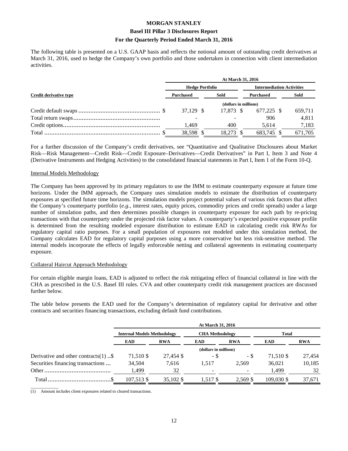#### **Basel III Pillar 3 Disclosures Report**

#### **For the Quarterly Period Ended March 31, 2016**

The following table is presented on a U.S. GAAP basis and reflects the notional amount of outstanding credit derivatives at March 31, 2016, used to hedge the Company's own portfolio and those undertaken in connection with client intermediation activities.

|                        | At March 31, 2016      |  |           |                  |                                  |  |         |  |
|------------------------|------------------------|--|-----------|------------------|----------------------------------|--|---------|--|
|                        | <b>Hedge Portfolio</b> |  |           |                  | <b>Intermediation Activities</b> |  |         |  |
| Credit derivative type | Purchased              |  | Sold      | <b>Purchased</b> |                                  |  | Sold    |  |
|                        | (dollars in millions)  |  |           |                  |                                  |  |         |  |
|                        | 37.129 \$              |  | 17.873 \$ |                  | 677.225 \$                       |  | 659,711 |  |
|                        |                        |  |           |                  | 906                              |  | 4,811   |  |
|                        | 1.469                  |  | 400       |                  | 5.614                            |  | 7,183   |  |
|                        | 38,598                 |  | 18.273    |                  | 683.745                          |  | 671,705 |  |

For a further discussion of the Company's credit derivatives, see "Quantitative and Qualitative Disclosures about Market Risk—Risk Management—Credit Risk—Credit Exposure–Derivatives—Credit Derivatives" in Part I, Item 3 and Note 4 (Derivative Instruments and Hedging Activities) to the consolidated financial statements in Part I, Item 1 of the Form 10-Q.

#### Internal Models Methodology

The Company has been approved by its primary regulators to use the IMM to estimate counterparty exposure at future time horizons. Under the IMM approach, the Company uses simulation models to estimate the distribution of counterparty exposures at specified future time horizons. The simulation models project potential values of various risk factors that affect the Company's counterparty portfolio (*e.g.*, interest rates, equity prices, commodity prices and credit spreads) under a large number of simulation paths, and then determines possible changes in counterparty exposure for each path by re-pricing transactions with that counterparty under the projected risk factor values. A counterparty's expected positive exposure profile is determined from the resulting modeled exposure distribution to estimate EAD in calculating credit risk RWAs for regulatory capital ratio purposes. For a small population of exposures not modeled under this simulation method, the Company calculates EAD for regulatory capital purposes using a more conservative but less risk-sensitive method. The internal models incorporate the effects of legally enforceable netting and collateral agreements in estimating counterparty exposure.

#### Collateral Haircut Approach Methodology

For certain eligible margin loans, EAD is adjusted to reflect the risk mitigating effect of financial collateral in line with the CHA as prescribed in the U.S. Basel III rules. CVA and other counterparty credit risk management practices are discussed further below.

The table below presents the EAD used for the Company's determination of regulatory capital for derivative and other contracts and securities financing transactions, excluding default fund contributions.

|                                         | At March 31, 2016                  |            |                        |            |              |            |  |
|-----------------------------------------|------------------------------------|------------|------------------------|------------|--------------|------------|--|
|                                         | <b>Internal Models Methodology</b> |            | <b>CHA</b> Methodology |            | <b>Total</b> |            |  |
|                                         | <b>EAD</b>                         | <b>RWA</b> | <b>EAD</b>             | <b>RWA</b> | <b>EAD</b>   | <b>RWA</b> |  |
|                                         |                                    |            | (dollars in millions)  |            |              |            |  |
| Derivative and other contracts $(1)$ \$ | 71,510 \$                          | 27,454 \$  | - \$                   | - \$       | 71,510 \$    | 27,454     |  |
| Securities financing transactions       | 34,504                             | 7.616      | 1.517                  | 2.569      | 36,021       | 10,185     |  |
|                                         | 1,499                              | 32         |                        |            | 1,499        | 32         |  |
|                                         | 107.513 \$                         | 35,102 \$  | 1.517 \$               | 2.569 \$   | 109,030 \$   | 37,671     |  |

 $\overline{\phantom{a}}$  , where  $\overline{\phantom{a}}$ (1) Amount includes client exposures related to cleared transactions.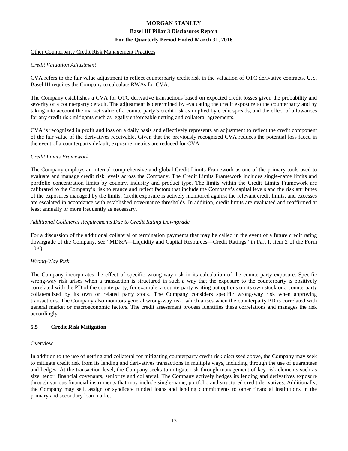#### Other Counterparty Credit Risk Management Practices

#### *Credit Valuation Adjustment*

CVA refers to the fair value adjustment to reflect counterparty credit risk in the valuation of OTC derivative contracts. U.S. Basel III requires the Company to calculate RWAs for CVA.

The Company establishes a CVA for OTC derivative transactions based on expected credit losses given the probability and severity of a counterparty default. The adjustment is determined by evaluating the credit exposure to the counterparty and by taking into account the market value of a counterparty's credit risk as implied by credit spreads, and the effect of allowances for any credit risk mitigants such as legally enforceable netting and collateral agreements.

CVA is recognized in profit and loss on a daily basis and effectively represents an adjustment to reflect the credit component of the fair value of the derivatives receivable. Given that the previously recognized CVA reduces the potential loss faced in the event of a counterparty default, exposure metrics are reduced for CVA.

#### *Credit Limits Framework*

The Company employs an internal comprehensive and global Credit Limits Framework as one of the primary tools used to evaluate and manage credit risk levels across the Company. The Credit Limits Framework includes single-name limits and portfolio concentration limits by country, industry and product type. The limits within the Credit Limits Framework are calibrated to the Company's risk tolerance and reflect factors that include the Company's capital levels and the risk attributes of the exposures managed by the limits. Credit exposure is actively monitored against the relevant credit limits, and excesses are escalated in accordance with established governance thresholds. In addition, credit limits are evaluated and reaffirmed at least annually or more frequently as necessary.

#### *Additional Collateral Requirements Due to Credit Rating Downgrade*

For a discussion of the additional collateral or termination payments that may be called in the event of a future credit rating downgrade of the Company, see "MD&A—Liquidity and Capital Resources—Credit Ratings" in Part I, Item 2 of the Form 10-Q.

#### *Wrong-Way Risk*

The Company incorporates the effect of specific wrong-way risk in its calculation of the counterparty exposure. Specific wrong-way risk arises when a transaction is structured in such a way that the exposure to the counterparty is positively correlated with the PD of the counterparty; for example, a counterparty writing put options on its own stock or a counterparty collateralized by its own or related party stock. The Company considers specific wrong-way risk when approving transactions. The Company also monitors general wrong-way risk, which arises when the counterparty PD is correlated with general market or macroeconomic factors. The credit assessment process identifies these correlations and manages the risk accordingly.

#### **5.5 Credit Risk Mitigation**

#### **Overview**

In addition to the use of netting and collateral for mitigating counterparty credit risk discussed above, the Company may seek to mitigate credit risk from its lending and derivatives transactions in multiple ways, including through the use of guarantees and hedges. At the transaction level, the Company seeks to mitigate risk through management of key risk elements such as size, tenor, financial covenants, seniority and collateral. The Company actively hedges its lending and derivatives exposure through various financial instruments that may include single-name, portfolio and structured credit derivatives. Additionally, the Company may sell, assign or syndicate funded loans and lending commitments to other financial institutions in the primary and secondary loan market.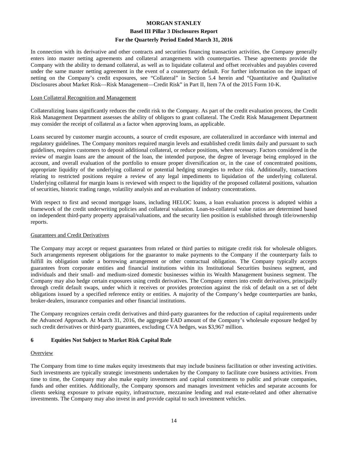#### **Basel III Pillar 3 Disclosures Report**

#### **For the Quarterly Period Ended March 31, 2016**

In connection with its derivative and other contracts and securities financing transaction activities, the Company generally enters into master netting agreements and collateral arrangements with counterparties. These agreements provide the Company with the ability to demand collateral, as well as to liquidate collateral and offset receivables and payables covered under the same master netting agreement in the event of a counterparty default. For further information on the impact of netting on the Company's credit exposures, see "Collateral" in Section 5.4 herein and "Quantitative and Qualitative Disclosures about Market Risk—Risk Management—Credit Risk" in Part II, Item 7A of the 2015 Form 10-K.

#### Loan Collateral Recognition and Management

Collateralizing loans significantly reduces the credit risk to the Company. As part of the credit evaluation process, the Credit Risk Management Department assesses the ability of obligors to grant collateral. The Credit Risk Management Department may consider the receipt of collateral as a factor when approving loans, as applicable.

Loans secured by customer margin accounts, a source of credit exposure, are collateralized in accordance with internal and regulatory guidelines. The Company monitors required margin levels and established credit limits daily and pursuant to such guidelines, requires customers to deposit additional collateral, or reduce positions, when necessary. Factors considered in the review of margin loans are the amount of the loan, the intended purpose, the degree of leverage being employed in the account, and overall evaluation of the portfolio to ensure proper diversification or, in the case of concentrated positions, appropriate liquidity of the underlying collateral or potential hedging strategies to reduce risk. Additionally, transactions relating to restricted positions require a review of any legal impediments to liquidation of the underlying collateral. Underlying collateral for margin loans is reviewed with respect to the liquidity of the proposed collateral positions, valuation of securities, historic trading range, volatility analysis and an evaluation of industry concentrations.

With respect to first and second mortgage loans, including HELOC loans, a loan evaluation process is adopted within a framework of the credit underwriting policies and collateral valuation. Loan-to-collateral value ratios are determined based on independent third-party property appraisal/valuations, and the security lien position is established through title/ownership reports.

#### Guarantees and Credit Derivatives

The Company may accept or request guarantees from related or third parties to mitigate credit risk for wholesale obligors. Such arrangements represent obligations for the guarantor to make payments to the Company if the counterparty fails to fulfill its obligation under a borrowing arrangement or other contractual obligation. The Company typically accepts guarantees from corporate entities and financial institutions within its Institutional Securities business segment, and individuals and their small- and medium-sized domestic businesses within its Wealth Management business segment. The Company may also hedge certain exposures using credit derivatives. The Company enters into credit derivatives, principally through credit default swaps, under which it receives or provides protection against the risk of default on a set of debt obligations issued by a specified reference entity or entities. A majority of the Company's hedge counterparties are banks, broker-dealers, insurance companies and other financial institutions.

The Company recognizes certain credit derivatives and third-party guarantees for the reduction of capital requirements under the Advanced Approach. At March 31, 2016, the aggregate EAD amount of the Company's wholesale exposure hedged by such credit derivatives or third-party guarantees, excluding CVA hedges, was \$3,967 million.

#### **6 Equities Not Subject to Market Risk Capital Rule**

#### **Overview**

The Company from time to time makes equity investments that may include business facilitation or other investing activities. Such investments are typically strategic investments undertaken by the Company to facilitate core business activities. From time to time, the Company may also make equity investments and capital commitments to public and private companies, funds and other entities. Additionally, the Company sponsors and manages investment vehicles and separate accounts for clients seeking exposure to private equity, infrastructure, mezzanine lending and real estate-related and other alternative investments. The Company may also invest in and provide capital to such investment vehicles.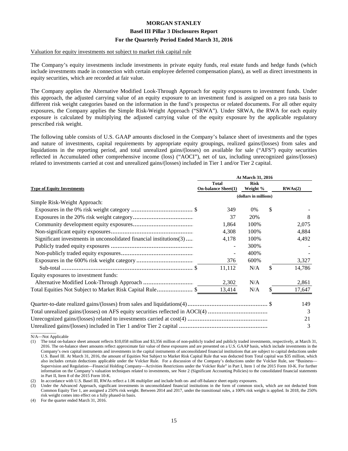#### Valuation for equity investments not subject to market risk capital rule

The Company's equity investments include investments in private equity funds, real estate funds and hedge funds (which include investments made in connection with certain employee deferred compensation plans), as well as direct investments in equity securities, which are recorded at fair value.

The Company applies the Alternative Modified Look-Through Approach for equity exposures to investment funds. Under this approach, the adjusted carrying value of an equity exposure to an investment fund is assigned on a pro rata basis to different risk weight categories based on the information in the fund's prospectus or related documents. For all other equity exposures, the Company applies the Simple Risk-Weight Approach ("SRWA"). Under SRWA, the RWA for each equity exposure is calculated by multiplying the adjusted carrying value of the equity exposure by the applicable regulatory prescribed risk weight.

The following table consists of U.S. GAAP amounts disclosed in the Company's balance sheet of investments and the types and nature of investments, capital requirements by appropriate equity groupings, realized gains/(losses) from sales and liquidations in the reporting period, and total unrealized gains/(losses) on available for sale ("AFS") equity securities reflected in Accumulated other comprehensive income (loss) ("AOCI"), net of tax, including unrecognized gains/(losses) related to investments carried at cost and unrealized gains/(losses) included in Tier 1 and/or Tier 2 capital.

|                                                                               | At March 31, 2016          |                       |    |         |  |  |
|-------------------------------------------------------------------------------|----------------------------|-----------------------|----|---------|--|--|
|                                                                               | <b>Total</b>               | <b>Risk</b>           |    |         |  |  |
| <b>Type of Equity Investments</b>                                             | <b>On-balance Sheet(1)</b> | Weight %              |    | RWAs(2) |  |  |
|                                                                               |                            | (dollars in millions) |    |         |  |  |
| Simple Risk-Weight Approach:                                                  |                            |                       |    |         |  |  |
|                                                                               | 349                        | 0%                    | \$ |         |  |  |
|                                                                               | 37                         | 20%                   |    | 8       |  |  |
|                                                                               | 1,864                      | 100%                  |    | 2,075   |  |  |
|                                                                               | 4,308                      | 100%                  |    | 4,884   |  |  |
| Significant investments in unconsolidated financial institutions(3)           | 4,178                      | 100%                  |    | 4,492   |  |  |
|                                                                               |                            | 300%                  |    |         |  |  |
|                                                                               |                            | 400%                  |    |         |  |  |
|                                                                               | 376                        | 600%                  |    | 3,327   |  |  |
|                                                                               | 11,112                     | N/A                   | \$ | 14,786  |  |  |
| Equity exposures to investment funds:                                         |                            |                       |    |         |  |  |
|                                                                               | 2,302                      | N/A                   |    | 2,861   |  |  |
| Total Equities Not Subject to Market Risk Capital Rule\$                      | 13,414                     | N/A                   | \$ | 17,647  |  |  |
|                                                                               |                            |                       |    | 149     |  |  |
| Total unrealized gains/(losses) on AFS equity securities reflected in AOCI(4) |                            |                       |    | 3       |  |  |
|                                                                               |                            |                       |    | 21      |  |  |
|                                                                               |                            |                       |    | 3       |  |  |

N/A—Not Applicable

(1) The total on-balance sheet amount reflects \$10,058 million and \$3,356 million of non-publicly traded and publicly traded investments, respectively, at March 31, 2016. The on-balance sheet amounts reflect approximate fair value of these exposures and are presented on a U.S. GAAP basis, which include investments in the Company's own capital instruments and investments in the capital instruments of unconsolidated financial institutions that are subject to capital deductions under U.S. Basel III. At March 31, 2016, the amount of Equities Not Subject to Market Risk Capital Rule that was deducted from Total capital was \$35 million, which also includes certain deductions applicable under the Volcker Rule. For a discussion of the Company's deductions under the Volcker Rule, see "Business-Supervision and Regulation—Financial Holding Company—Activities Restrictions under the Volcker Rule" in Part I, Item 1 of the 2015 Form 10-K. For further information on the Company's valuation techniques related to investments, see Note 2 (Significant Accounting Policies) to the consolidated financial statements in Part II, Item 8 of the 2015 Form 10-K.

(2) In accordance with U.S. Basel III, RWAs reflect a 1.06 multiplier and include both on- and off-balance sheet equity exposures.

(3) Under the Advanced Approach, significant investments in unconsolidated financial institutions in the form of common stock, which are not deducted from Common Equity Tier 1, are assigned a 250% risk weight. Between 2014 and 2017, under the transitional rules, a 100% risk weight is applied. In 2018, the 250% risk weight comes into effect on a fully phased-in basis.

(4) For the quarter ended March 31, 2016.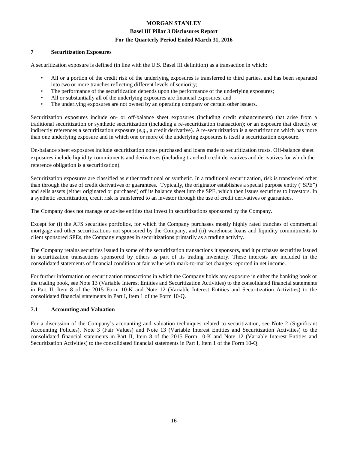#### **7 Securitization Exposures**

A securitization exposure is defined (in line with the U.S. Basel III definition) as a transaction in which:

- All or a portion of the credit risk of the underlying exposures is transferred to third parties, and has been separated into two or more tranches reflecting different levels of seniority;
- The performance of the securitization depends upon the performance of the underlying exposures;
- All or substantially all of the underlying exposures are financial exposures; and
- The underlying exposures are not owned by an operating company or certain other issuers.

Securitization exposures include on- or off-balance sheet exposures (including credit enhancements) that arise from a traditional securitization or synthetic securitization (including a re-securitization transaction); or an exposure that directly or indirectly references a securitization exposure (*e.g.*, a credit derivative). A re-securitization is a securitization which has more than one underlying exposure and in which one or more of the underlying exposures is itself a securitization exposure.

On-balance sheet exposures include securitization notes purchased and loans made to securitization trusts. Off-balance sheet exposures include liquidity commitments and derivatives (including tranched credit derivatives and derivatives for which the reference obligation is a securitization).

Securitization exposures are classified as either traditional or synthetic. In a traditional securitization, risk is transferred other than through the use of credit derivatives or guarantees. Typically, the originator establishes a special purpose entity ("SPE") and sells assets (either originated or purchased) off its balance sheet into the SPE, which then issues securities to investors. In a synthetic securitization, credit risk is transferred to an investor through the use of credit derivatives or guarantees.

The Company does not manage or advise entities that invest in securitizations sponsored by the Company.

Except for (i) the AFS securities portfolios, for which the Company purchases mostly highly rated tranches of commercial mortgage and other securitizations not sponsored by the Company, and (ii) warehouse loans and liquidity commitments to client sponsored SPEs, the Company engages in securitizations primarily as a trading activity.

The Company retains securities issued in some of the securitization transactions it sponsors, and it purchases securities issued in securitization transactions sponsored by others as part of its trading inventory. These interests are included in the consolidated statements of financial condition at fair value with mark-to-market changes reported in net income.

For further information on securitization transactions in which the Company holds any exposure in either the banking book or the trading book, see Note 13 (Variable Interest Entities and Securitization Activities) to the consolidated financial statements in Part II, Item 8 of the 2015 Form 10-K and Note 12 (Variable Interest Entities and Securitization Activities) to the consolidated financial statements in Part I, Item 1 of the Form 10-Q.

#### **7.1 Accounting and Valuation**

For a discussion of the Company's accounting and valuation techniques related to securitization, see Note 2 (Significant Accounting Policies), Note 3 (Fair Values) and Note 13 (Variable Interest Entities and Securitization Activities) to the consolidated financial statements in Part II, Item 8 of the 2015 Form 10-K and Note 12 (Variable Interest Entities and Securitization Activities) to the consolidated financial statements in Part I, Item 1 of the Form 10-Q.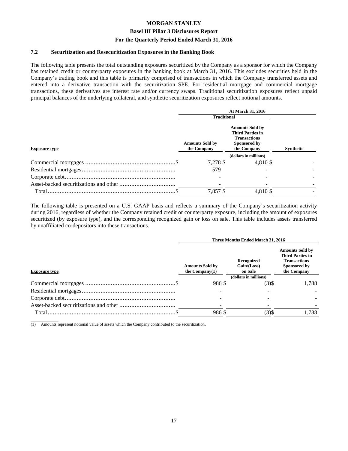#### **Basel III Pillar 3 Disclosures Report**

#### **For the Quarterly Period Ended March 31, 2016**

#### **7.2 Securitization and Resecuritization Exposures in the Banking Book**

The following table presents the total outstanding exposures securitized by the Company as a sponsor for which the Company has retained credit or counterparty exposures in the banking book at March 31, 2016. This excludes securities held in the Company's trading book and this table is primarily comprised of transactions in which the Company transferred assets and entered into a derivative transaction with the securitization SPE. For residential mortgage and commercial mortgage transactions, these derivatives are interest rate and/or currency swaps. Traditional securitization exposures reflect unpaid principal balances of the underlying collateral, and synthetic securitization exposures reflect notional amounts.

|                      | At March 31, 2016                     |                                                                                                         |           |  |  |
|----------------------|---------------------------------------|---------------------------------------------------------------------------------------------------------|-----------|--|--|
|                      | <b>Traditional</b>                    |                                                                                                         |           |  |  |
| <b>Exposure type</b> | <b>Amounts Sold by</b><br>the Company | <b>Amounts Sold by</b><br><b>Third Parties in</b><br><b>Transactions</b><br>Sponsored by<br>the Company | Synthetic |  |  |
|                      |                                       | (dollars in millions)                                                                                   |           |  |  |
|                      | 7,278 \$                              | 4,810 \$                                                                                                |           |  |  |
|                      | 579                                   |                                                                                                         |           |  |  |
|                      |                                       |                                                                                                         |           |  |  |
|                      |                                       |                                                                                                         |           |  |  |
|                      | 7,857 \$                              | 4.810 \$                                                                                                |           |  |  |
|                      |                                       |                                                                                                         |           |  |  |

The following table is presented on a U.S. GAAP basis and reflects a summary of the Company's securitization activity during 2016, regardless of whether the Company retained credit or counterparty exposure, including the amount of exposures securitized (by exposure type), and the corresponding recognized gain or loss on sale. This table includes assets transferred by unaffiliated co-depositors into these transactions.

|                      | Three Months Ended March 31, 2016           |                                      |                                                                                                         |  |  |
|----------------------|---------------------------------------------|--------------------------------------|---------------------------------------------------------------------------------------------------------|--|--|
| <b>Exposure type</b> | <b>Amounts Sold by</b><br>the Company $(1)$ | Recognized<br>Gain/(Loss)<br>on Sale | <b>Amounts Sold by</b><br><b>Third Parties in</b><br><b>Transactions</b><br>Sponsored by<br>the Company |  |  |
|                      |                                             | (dollars in millions)                |                                                                                                         |  |  |
|                      | 986 \$                                      | $(3)$ \$                             | 1,788                                                                                                   |  |  |
|                      |                                             |                                      |                                                                                                         |  |  |
|                      |                                             |                                      |                                                                                                         |  |  |
|                      |                                             |                                      |                                                                                                         |  |  |
|                      | 986\$                                       | $(3)$ \$                             | 1,788                                                                                                   |  |  |

 $\overline{\phantom{a}}$  , where  $\overline{\phantom{a}}$ (1) Amounts represent notional value of assets which the Company contributed to the securitization.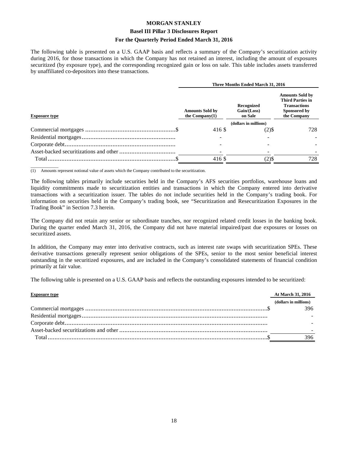#### **Basel III Pillar 3 Disclosures Report**

#### **For the Quarterly Period Ended March 31, 2016**

The following table is presented on a U.S. GAAP basis and reflects a summary of the Company's securitization activity during 2016, for those transactions in which the Company has not retained an interest, including the amount of exposures securitized (by exposure type), and the corresponding recognized gain or loss on sale. This table includes assets transferred by unaffiliated co-depositors into these transactions.

|                      |                                             | Three Months Ended March 31, 2016    |                                                                                                         |  |  |
|----------------------|---------------------------------------------|--------------------------------------|---------------------------------------------------------------------------------------------------------|--|--|
| <b>Exposure type</b> | <b>Amounts Sold by</b><br>the $Common(v(1)$ | Recognized<br>Gain/(Loss)<br>on Sale | <b>Amounts Sold by</b><br><b>Third Parties in</b><br><b>Transactions</b><br>Sponsored by<br>the Company |  |  |
|                      |                                             | (dollars in millions)                |                                                                                                         |  |  |
|                      | 416 \$                                      | $(2)$ \$                             | 728.                                                                                                    |  |  |
|                      |                                             |                                      |                                                                                                         |  |  |
|                      |                                             |                                      |                                                                                                         |  |  |
|                      |                                             |                                      |                                                                                                         |  |  |
|                      | 416 \$                                      | $(2)$ \$                             | 728                                                                                                     |  |  |
|                      |                                             |                                      |                                                                                                         |  |  |

 $\overline{\phantom{a}}$  , where  $\overline{\phantom{a}}$ (1) Amounts represent notional value of assets which the Company contributed to the securitization.

The following tables primarily include securities held in the Company's AFS securities portfolios, warehouse loans and liquidity commitments made to securitization entities and transactions in which the Company entered into derivative transactions with a securitization issuer. The tables do not include securities held in the Company's trading book. For information on securities held in the Company's trading book, see "Securitization and Resecuritization Exposures in the Trading Book" in Section 7.3 herein.

The Company did not retain any senior or subordinate tranches, nor recognized related credit losses in the banking book. During the quarter ended March 31, 2016, the Company did not have material impaired/past due exposures or losses on securitized assets.

In addition, the Company may enter into derivative contracts, such as interest rate swaps with securitization SPEs. These derivative transactions generally represent senior obligations of the SPEs, senior to the most senior beneficial interest outstanding in the securitized exposures, and are included in the Company's consolidated statements of financial condition primarily at fair value.

The following table is presented on a U.S. GAAP basis and reflects the outstanding exposures intended to be securitized:

| <b>Exposure type</b> | At March 31, 2016     |
|----------------------|-----------------------|
|                      | (dollars in millions) |
|                      | 396                   |
|                      |                       |
|                      |                       |
|                      |                       |
|                      | 396                   |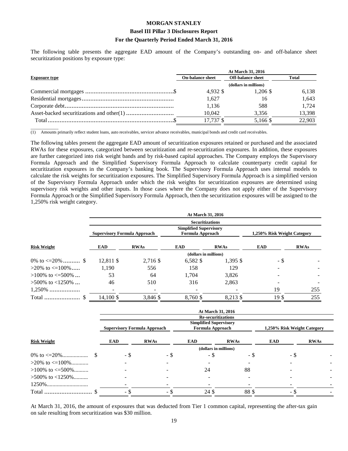The following table presents the aggregate EAD amount of the Company's outstanding on- and off-balance sheet securitization positions by exposure type:

|                      | At March 31, 2016       |                          |        |  |  |  |
|----------------------|-------------------------|--------------------------|--------|--|--|--|
| <b>Exposure type</b> | <b>On-balance sheet</b> | <b>Off-balance sheet</b> | Total  |  |  |  |
|                      | (dollars in millions)   |                          |        |  |  |  |
|                      | 4.932 \$                | $1.206$ \$               | 6.138  |  |  |  |
|                      | 1.627                   | 16                       | 1.643  |  |  |  |
|                      | 1,136                   | 588                      | 1.724  |  |  |  |
|                      | 10.042                  | 3,356                    | 13,398 |  |  |  |
|                      | 17,737 \$               | 5.166 \$                 | 22,903 |  |  |  |

 $\overline{\phantom{a}}$ (1) Amounts primarily reflect student loans, auto receivables, servicer advance receivables, municipal bonds and credit card receivables.

The following tables present the aggregate EAD amount of securitization exposures retained or purchased and the associated RWAs for these exposures, categorized between securitization and re-securitization exposures. In addition, these exposures are further categorized into risk weight bands and by risk-based capital approaches. The Company employs the Supervisory Formula Approach and the Simplified Supervisory Formula Approach to calculate counterparty credit capital for securitization exposures in the Company's banking book. The Supervisory Formula Approach uses internal models to calculate the risk weights for securitization exposures. The Simplified Supervisory Formula Approach is a simplified version of the Supervisory Formula Approach under which the risk weights for securitization exposures are determined using supervisory risk weights and other inputs. In those cases where the Company does not apply either of the Supervisory Formula Approach or the Simplified Supervisory Formula Approach, then the securitization exposures will be assigned to the 1,250% risk weight category.

|                          |                                     |             | At March 31, 2016                                                           |             |                             |             |
|--------------------------|-------------------------------------|-------------|-----------------------------------------------------------------------------|-------------|-----------------------------|-------------|
| <b>Risk Weight</b>       | <b>Supervisory Formula Approach</b> |             | <b>Securitizations</b><br><b>Simplified Supervisory</b><br>Formula Approach |             | 1,250% Risk Weight Category |             |
|                          | <b>EAD</b>                          | <b>RWAs</b> | <b>EAD</b>                                                                  | <b>RWAs</b> | <b>EAD</b>                  | <b>RWAs</b> |
|                          |                                     |             | (dollars in millions)                                                       |             |                             |             |
| 0\% to $\leq$ =20\%  \$  | 12.811 \$                           | 2,716 \$    | $6,582$ \$                                                                  | $1.395$ \$  | - \$                        |             |
| $>20\%$ to $\leq 100\%$  | 1.190                               | 556         | 158                                                                         | 129         |                             |             |
| $>100\%$ to $\leq 500\%$ | 53                                  | 64          | 1.704                                                                       | 3,826       |                             |             |
| $>500\%$ to $<1250\%$    | 46                                  | 510         | 316                                                                         | 2,863       |                             |             |
| $1,250\%$                |                                     |             |                                                                             |             | 19                          | 255         |
|                          | 14,100 \$                           | 3,846 \$    | 8,760 \$                                                                    | 8,213 \$    | 19 <sup>°</sup>             | 255         |

|                          |                                     |             | At March 31, 2016                                                              |             |                             |             |
|--------------------------|-------------------------------------|-------------|--------------------------------------------------------------------------------|-------------|-----------------------------|-------------|
|                          | <b>Supervisory Formula Approach</b> |             | <b>Re-securitizations</b><br><b>Simplified Supervisory</b><br>Formula Approach |             | 1,250% Risk Weight Category |             |
| <b>Risk Weight</b>       | <b>EAD</b>                          | <b>RWAs</b> | <b>EAD</b>                                                                     | <b>RWAs</b> | <b>EAD</b>                  | <b>RWAs</b> |
|                          |                                     |             | (dollars in millions)                                                          |             |                             |             |
|                          | - \$                                | - \$        | - \$                                                                           | - \$        | - \$                        |             |
| $>20\%$ to $\leq 100\%$  |                                     |             |                                                                                |             |                             |             |
| $>100\%$ to $\leq 500\%$ |                                     |             | 24                                                                             | 88          |                             |             |
| $>500\%$ to $<1250\%$    |                                     |             |                                                                                |             |                             |             |
|                          |                                     |             |                                                                                |             |                             |             |
|                          | ٠.                                  | - \$        | 24 \$                                                                          | 88\$        | - 3                         |             |

At March 31, 2016, the amount of exposures that was deducted from Tier 1 common capital, representing the after-tax gain on sale resulting from securitization was \$30 million.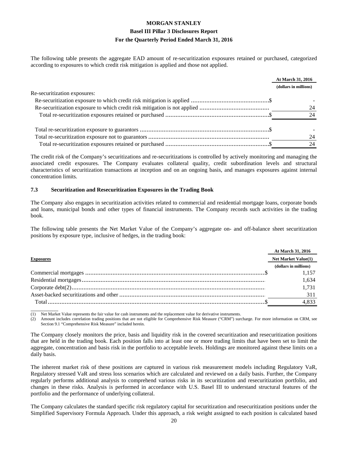The following table presents the aggregate EAD amount of re-securitization exposures retained or purchased, categorized according to exposures to which credit risk mitigation is applied and those not applied.

|                              | At March 31, 2016     |
|------------------------------|-----------------------|
|                              | (dollars in millions) |
| Re-securitization exposures: |                       |
|                              |                       |
|                              | 24                    |
|                              | 24                    |
|                              |                       |
|                              | 24                    |
|                              | 24                    |

The credit risk of the Company's securitizations and re-securitizations is controlled by actively monitoring and managing the associated credit exposures. The Company evaluates collateral quality, credit subordination levels and structural characteristics of securitization transactions at inception and on an ongoing basis, and manages exposures against internal concentration limits.

#### **7.3 Securitization and Resecuritization Exposures in the Trading Book**

The Company also engages in securitization activities related to commercial and residential mortgage loans, corporate bonds and loans, municipal bonds and other types of financial instruments. The Company records such activities in the trading book.

The following table presents the Net Market Value of the Company's aggregate on- and off-balance sheet securitization positions by exposure type, inclusive of hedges, in the trading book:

|                  | At March 31, 2016          |
|------------------|----------------------------|
| <b>Exposures</b> | <b>Net Market Value(1)</b> |
|                  | (dollars in millions)      |
|                  | 1.157                      |
|                  | 1.634                      |
|                  | 1.731                      |
|                  | 311                        |
|                  | 4,833                      |
|                  |                            |

 $\overline{\phantom{a}}$ Net Market Value represents the fair value for cash instruments and the replacement value for derivative instruments.

(2) Amount includes correlation trading positions that are not eligible for Comprehensive Risk Measure ("CRM") surcharge. For more information on CRM, see Section 9.1 "Comprehensive Risk Measure" included herein.

The Company closely monitors the price, basis and liquidity risk in the covered securitization and resecuritization positions that are held in the trading book. Each position falls into at least one or more trading limits that have been set to limit the aggregate, concentration and basis risk in the portfolio to acceptable levels. Holdings are monitored against these limits on a daily basis.

The inherent market risk of these positions are captured in various risk measurement models including Regulatory VaR, Regulatory stressed VaR and stress loss scenarios which are calculated and reviewed on a daily basis. Further, the Company regularly performs additional analysis to comprehend various risks in its securitization and resecuritization portfolio, and changes in these risks. Analysis is performed in accordance with U.S. Basel III to understand structural features of the portfolio and the performance of underlying collateral.

The Company calculates the standard specific risk regulatory capital for securitization and resecuritization positions under the Simplified Supervisory Formula Approach. Under this approach, a risk weight assigned to each position is calculated based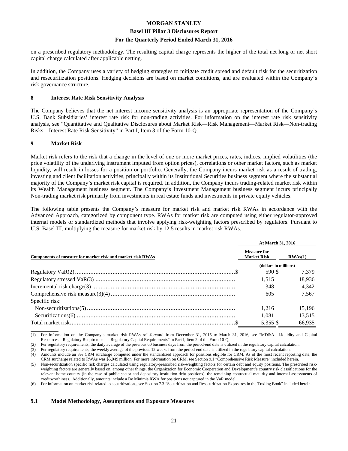#### **Basel III Pillar 3 Disclosures Report**

#### **For the Quarterly Period Ended March 31, 2016**

on a prescribed regulatory methodology. The resulting capital charge represents the higher of the total net long or net short capital charge calculated after applicable netting.

In addition, the Company uses a variety of hedging strategies to mitigate credit spread and default risk for the securitization and resecuritization positions. Hedging decisions are based on market conditions, and are evaluated within the Company's risk governance structure.

#### **8 Interest Rate Risk Sensitivity Analysis**

The Company believes that the net interest income sensitivity analysis is an appropriate representation of the Company's U.S. Bank Subsidiaries' interest rate risk for non-trading activities. For information on the interest rate risk sensitivity analysis, see "Quantitative and Qualitative Disclosures about Market Risk—Risk Management—Market Risk—Non-trading Risks—Interest Rate Risk Sensitivity" in Part I, Item 3 of the Form 10-Q.

#### **9 Market Risk**

Market risk refers to the risk that a change in the level of one or more market prices, rates, indices, implied volatilities (the price volatility of the underlying instrument imputed from option prices), correlations or other market factors, such as market liquidity, will result in losses for a position or portfolio. Generally, the Company incurs market risk as a result of trading, investing and client facilitation activities, principally within its Institutional Securities business segment where the substantial majority of the Company's market risk capital is required. In addition, the Company incurs trading-related market risk within its Wealth Management business segment. The Company's Investment Management business segment incurs principally Non-trading market risk primarily from investments in real estate funds and investments in private equity vehicles.

The following table presents the Company's measure for market risk and market risk RWAs in accordance with the Advanced Approach, categorized by component type. RWAs for market risk are computed using either regulator-approved internal models or standardized methods that involve applying risk-weighting factors prescribed by regulators. Pursuant to U.S. Basel III, multiplying the measure for market risk by 12.5 results in market risk RWAs.

|                                                            | <b>At March 31, 2016</b>                 |         |  |
|------------------------------------------------------------|------------------------------------------|---------|--|
| Components of measure for market risk and market risk RWAs | <b>Measure for</b><br><b>Market Risk</b> | RWAs(1) |  |
|                                                            | (dollars in millions)                    |         |  |
|                                                            | 590 \$                                   | 7.379   |  |
|                                                            | 1.515                                    | 18,936  |  |
|                                                            | 348                                      | 4.342   |  |
|                                                            | 605                                      | 7.567   |  |
| Specific risk:                                             |                                          |         |  |
|                                                            | 1.216                                    | 15,196  |  |
|                                                            | 1,081                                    | 13,515  |  |
|                                                            | 5.355 \$                                 | 66.935  |  |

 $\overline{\phantom{a}}$  , where  $\overline{\phantom{a}}$ (1) For information on the Company's market risk RWAs roll-forward from December 31, 2015 to March 31, 2016, see "MD&A—Liquidity and Capital Resources—Regulatory Requirements—Regulatory Capital Requirements" in Part I, Item 2 of the Form 10-Q.

(2) Per regulatory requirements, the daily average of the previous 60 business days from the period-end date is utilized in the regulatory capital calculation.

(3) Per regulatory requirements, the weekly average of the previous 12 weeks from the period-end date is utilized in the regulatory capital calculation.

(6) For information on market risk related to securitizations, see Section 7.3 "Securitization and Resecuritization Exposures in the Trading Book" included herein.

#### **9.1 Model Methodology, Assumptions and Exposure Measures**

<sup>(4)</sup> Amounts include an 8% CRM surcharge computed under the standardized approach for positions eligible for CRM. As of the most recent reporting date, the CRM surcharge related to RWAs was \$5,049 million. For more information on CRM, see Section 9.1 "Comprehensive Risk Measure" included herein.

<sup>(5)</sup> Non-securitization specific risk charges calculated using regulatory-prescribed risk-weighting factors for certain debt and equity positions. The prescribed riskweighting factors are generally based on, among other things, the Organization for Economic Cooperation and Development's country risk classifications for the relevant home country (in the case of public sector and depository institution debt positions), the remaining contractual maturity and internal assessments of creditworthiness. Additionally, amounts include a De Minimis RWA for positions not captured in the VaR model.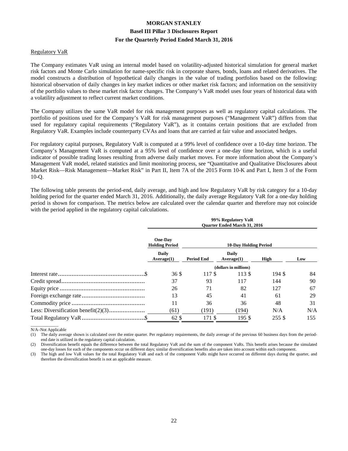#### Regulatory VaR

The Company estimates VaR using an internal model based on volatility-adjusted historical simulation for general market risk factors and Monte Carlo simulation for name-specific risk in corporate shares, bonds, loans and related derivatives. The model constructs a distribution of hypothetical daily changes in the value of trading portfolios based on the following: historical observation of daily changes in key market indices or other market risk factors; and information on the sensitivity of the portfolio values to these market risk factor changes. The Company's VaR model uses four years of historical data with a volatility adjustment to reflect current market conditions.

The Company utilizes the same VaR model for risk management purposes as well as regulatory capital calculations. The portfolio of positions used for the Company's VaR for risk management purposes ("Management VaR") differs from that used for regulatory capital requirements ("Regulatory VaR"), as it contains certain positions that are excluded from Regulatory VaR. Examples include counterparty CVAs and loans that are carried at fair value and associated hedges.

For regulatory capital purposes, Regulatory VaR is computed at a 99% level of confidence over a 10-day time horizon. The Company's Management VaR is computed at a 95% level of confidence over a one-day time horizon, which is a useful indicator of possible trading losses resulting from adverse daily market moves. For more information about the Company's Management VaR model, related statistics and limit monitoring process, see "Quantitative and Qualitative Disclosures about Market Risk—Risk Management—Market Risk" in Part II, Item 7A of the 2015 Form 10-K and Part I, Item 3 of the Form 10-Q.

The following table presents the period-end, daily average, and high and low Regulatory VaR by risk category for a 10-day holding period for the quarter ended March 31, 2016. Additionally, the daily average Regulatory VaR for a one-day holding period is shown for comparison. The metrics below are calculated over the calendar quarter and therefore may not coincide with the period applied in the regulatory capital calculations.

| 99% Regulatory VaR<br><b>Ouarter Ended March 31, 2016</b> |                              |                       |        |     |
|-----------------------------------------------------------|------------------------------|-----------------------|--------|-----|
| One-Dav<br><b>Holding Period</b>                          | <b>10-Day Holding Period</b> |                       |        |     |
| Daily<br>Average(1)                                       | <b>Period End</b>            | Daily<br>Average(1)   | High   | Low |
|                                                           |                              | (dollars in millions) |        |     |
| 36S                                                       | 117\$                        | 113 \$                | 194 \$ | 84  |
| 37                                                        | 93                           | 117                   | 144    | 90  |
| 26                                                        | 71                           | 82                    | 127    | 67  |
| 13                                                        | 45                           | 41                    | 61     | 29  |
| 11                                                        | 36                           | 36                    | 48     | 31  |
| (61)                                                      | (191)                        | (194)                 | N/A    | N/A |
| 62 \$                                                     | 171 \$                       | 195S                  | 255 \$ | 155 |

 $\overline{\phantom{a}}$  , where  $\overline{\phantom{a}}$ N/A–Not Applicable

(1) The daily average shown is calculated over the entire quarter. Per regulatory requirements, the daily average of the previous 60 business days from the periodend date is utilized in the regulatory capital calculation.

(2) Diversification benefit equals the difference between the total Regulatory VaR and the sum of the component VaRs. This benefit arises because the simulated one-day losses for each of the components occur on different days; similar diversification benefits also are taken into account within each component.

(3) The high and low VaR values for the total Regulatory VaR and each of the component VaRs might have occurred on different days during the quarter, and therefore the diversification benefit is not an applicable measure.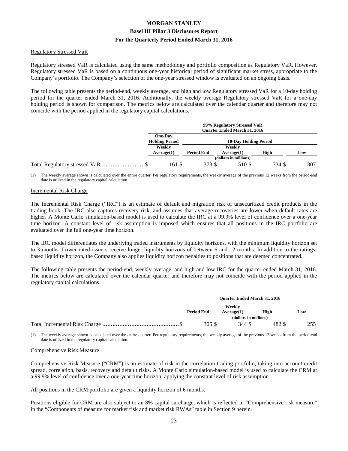#### Regulatory Stressed VaR

Regulatory stressed VaR is calculated using the same methodology and portfolio composition as Regulatory VaR. However, Regulatory stressed VaR is based on a continuous one-year historical period of significant market stress, appropriate to the Company's portfolio. The Company's selection of the one-year stressed window is evaluated on an ongoing basis.

The following table presents the period-end, weekly average, and high and low Regulatory stressed VaR for a 10-day holding period for the quarter ended March 31, 2016. Additionally, the weekly average Regulatory stressed VaR for a one-day holding period is shown for comparison. The metrics below are calculated over the calendar quarter and therefore may not coincide with the period applied in the regulatory capital calculations.

|                                  | 99% Regulatory Stressed VaR<br><b>Ouarter Ended March 31, 2016</b> |                   |                              |        |     |
|----------------------------------|--------------------------------------------------------------------|-------------------|------------------------------|--------|-----|
|                                  | One-Day<br><b>Holding Period</b>                                   |                   | <b>10-Day Holding Period</b> |        |     |
|                                  | Weekly<br>Average(1)                                               | <b>Period End</b> | Weekly<br>Average(1)         | High   | Low |
|                                  |                                                                    |                   | (dollars in millions)        |        |     |
| Total Regulatory stressed VaR \$ | 161 \$                                                             | 373 \$            | 510 \$                       | 734 \$ | 307 |

(1) The weekly average shown is calculated over the entire quarter. Per regulatory requirements, the weekly average of the previous 12 weeks from the period-end date is utilized in the regulatory capital calculation.

#### Incremental Risk Charge

The Incremental Risk Charge ("IRC") is an estimate of default and migration risk of unsecuritized credit products in the trading book. The IRC also captures recovery risk, and assumes that average recoveries are lower when default rates are higher. A Monte Carlo simulation-based model is used to calculate the IRC at a 99.9% level of confidence over a one-year time horizon. A constant level of risk assumption is imposed which ensures that all positions in the IRC portfolio are evaluated over the full one-year time horizon.

The IRC model differentiates the underlying traded instruments by liquidity horizons, with the minimum liquidity horizon set to 3 months. Lower rated issuers receive longer liquidity horizons of between 6 and 12 months. In addition to the ratingsbased liquidity horizon, the Company also applies liquidity horizon penalties to positions that are deemed concentrated.

The following table presents the period-end, weekly average, and high and low IRC for the quarter ended March 31, 2016. The metrics below are calculated over the calendar quarter and therefore may not coincide with the period applied in the regulatory capital calculations.

| <b>Ouarter Ended March 31, 2016</b> |                       |        |     |
|-------------------------------------|-----------------------|--------|-----|
|                                     | Weekly                |        |     |
| <b>Period End</b>                   | Average(1)            | High   | Low |
|                                     | (dollars in millions) |        |     |
| 305 S                               | 344 S                 | 482 \$ |     |

 $\overline{\phantom{a}}$  , where  $\overline{\phantom{a}}$ (1) The weekly average shown is calculated over the entire quarter. Per regulatory requirements, the weekly average of the previous 12 weeks from the period-end date is utilized in the regulatory capital calculation.

#### Comprehensive Risk Measure

Comprehensive Risk Measure ("CRM") is an estimate of risk in the correlation trading portfolio, taking into account credit spread, correlation, basis, recovery and default risks. A Monte Carlo simulation-based model is used to calculate the CRM at a 99.9% level of confidence over a one-year time horizon, applying the constant level of risk assumption.

All positions in the CRM portfolio are given a liquidity horizon of 6 months.

Positions eligible for CRM are also subject to an 8% capital surcharge, which is reflected in "Comprehensive risk measure" in the "Components of measure for market risk and market risk RWAs" table in Section 9 herein.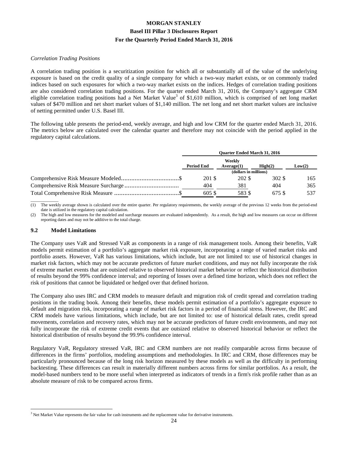#### *Correlation Trading Positions*

A correlation trading position is a securitization position for which all or substantially all of the value of the underlying exposure is based on the credit quality of a single company for which a two-way market exists, or on commonly traded indices based on such exposures for which a two-way market exists on the indices. Hedges of correlation trading positions are also considered correlation trading positions. For the quarter ended March 31, 2016, the Company's aggregate CRM eligible correlation trading positions had a Net Market Value<sup>3</sup> of \$1,610 million, which is comprised of net long market values of \$470 million and net short market values of \$1,140 million. The net long and net short market values are inclusive of netting permitted under U.S. Basel III.

The following table presents the period-end, weekly average, and high and low CRM for the quarter ended March 31, 2016. The metrics below are calculated over the calendar quarter and therefore may not coincide with the period applied in the regulatory capital calculations.

| <b>Ouarter Ended March 31, 2016</b> |                      |                  |        |
|-------------------------------------|----------------------|------------------|--------|
| <b>Period End</b>                   | Weekly<br>Average(1) | $\text{High}(2)$ | Low(2) |
| (dollars in millions)               |                      |                  |        |
| 201 \$                              | 202 \$               | 302 \$           | 165    |
| 404                                 | 381                  | 404              | 365    |
| 605S                                | 583 \$               | 675 \$           | 537    |

 $\overline{\phantom{a}}$  , where  $\overline{\phantom{a}}$ (1) The weekly average shown is calculated over the entire quarter. Per regulatory requirements, the weekly average of the previous 12 weeks from the period-end date is utilized in the regulatory capital calculation.

(2) The high and low measures for the modeled and surcharge measures are evaluated independently. As a result, the high and low measures can occur on different reporting dates and may not be additive to the total charge.

#### **9.2 Model Limitations**

The Company uses VaR and Stressed VaR as components in a range of risk management tools. Among their benefits, VaR models permit estimation of a portfolio's aggregate market risk exposure, incorporating a range of varied market risks and portfolio assets. However, VaR has various limitations, which include, but are not limited to: use of historical changes in market risk factors, which may not be accurate predictors of future market conditions, and may not fully incorporate the risk of extreme market events that are outsized relative to observed historical market behavior or reflect the historical distribution of results beyond the 99% confidence interval; and reporting of losses over a defined time horizon, which does not reflect the risk of positions that cannot be liquidated or hedged over that defined horizon.

The Company also uses IRC and CRM models to measure default and migration risk of credit spread and correlation trading positions in the trading book. Among their benefits, these models permit estimation of a portfolio's aggregate exposure to default and migration risk, incorporating a range of market risk factors in a period of financial stress. However, the IRC and CRM models have various limitations, which include, but are not limited to: use of historical default rates, credit spread movements, correlation and recovery rates, which may not be accurate predictors of future credit environments, and may not fully incorporate the risk of extreme credit events that are outsized relative to observed historical behavior or reflect the historical distribution of results beyond the 99.9% confidence interval.

Regulatory VaR, Regulatory stressed VaR, IRC and CRM numbers are not readily comparable across firms because of differences in the firms' portfolios, modeling assumptions and methodologies. In IRC and CRM, those differences may be particularly pronounced because of the long risk horizon measured by these models as well as the difficulty in performing backtesting. These differences can result in materially different numbers across firms for similar portfolios. As a result, the model-based numbers tend to be more useful when interpreted as indicators of trends in a firm's risk profile rather than as an absolute measure of risk to be compared across firms.

 $\overline{a}$  $3$  Net Market Value represents the fair value for cash instruments and the replacement value for derivative instruments.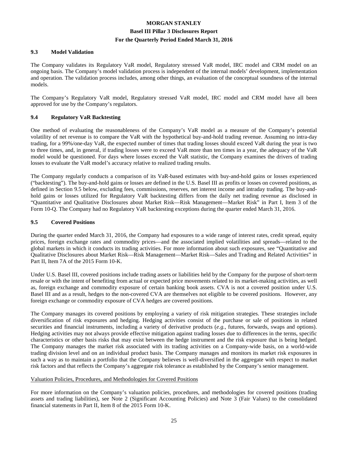#### **9.3 Model Validation**

The Company validates its Regulatory VaR model, Regulatory stressed VaR model, IRC model and CRM model on an ongoing basis. The Company's model validation process is independent of the internal models' development, implementation and operation. The validation process includes, among other things, an evaluation of the conceptual soundness of the internal models.

The Company's Regulatory VaR model, Regulatory stressed VaR model, IRC model and CRM model have all been approved for use by the Company's regulators.

#### **9.4 Regulatory VaR Backtesting**

One method of evaluating the reasonableness of the Company's VaR model as a measure of the Company's potential volatility of net revenue is to compare the VaR with the hypothetical buy-and-hold trading revenue. Assuming no intra-day trading, for a 99%/one-day VaR, the expected number of times that trading losses should exceed VaR during the year is two to three times, and, in general, if trading losses were to exceed VaR more than ten times in a year, the adequacy of the VaR model would be questioned. For days where losses exceed the VaR statistic, the Company examines the drivers of trading losses to evaluate the VaR model's accuracy relative to realized trading results.

The Company regularly conducts a comparison of its VaR-based estimates with buy-and-hold gains or losses experienced ("backtesting"). The buy-and-hold gains or losses are defined in the U.S. Basel III as profits or losses on covered positions, as defined in Section 9.5 below, excluding fees, commissions, reserves, net interest income and intraday trading. The buy-andhold gains or losses utilized for Regulatory VaR backtesting differs from the daily net trading revenue as disclosed in "Quantitative and Qualitative Disclosures about Market Risk—Risk Management—Market Risk" in Part I, Item 3 of the Form 10-Q. The Company had no Regulatory VaR backtesting exceptions during the quarter ended March 31, 2016.

#### **9.5 Covered Positions**

During the quarter ended March 31, 2016, the Company had exposures to a wide range of interest rates, credit spread, equity prices, foreign exchange rates and commodity prices—and the associated implied volatilities and spreads—related to the global markets in which it conducts its trading activities. For more information about such exposures, see "Quantitative and Qualitative Disclosures about Market Risk—Risk Management—Market Risk—Sales and Trading and Related Activities" in Part II, Item 7A of the 2015 Form 10-K.

Under U.S. Basel III, covered positions include trading assets or liabilities held by the Company for the purpose of short-term resale or with the intent of benefiting from actual or expected price movements related to its market-making activities, as well as, foreign exchange and commodity exposure of certain banking book assets. CVA is not a covered position under U.S. Basel III and as a result, hedges to the non-covered CVA are themselves not eligible to be covered positions. However, any foreign exchange or commodity exposure of CVA hedges are covered positions.

The Company manages its covered positions by employing a variety of risk mitigation strategies. These strategies include diversification of risk exposures and hedging. Hedging activities consist of the purchase or sale of positions in related securities and financial instruments, including a variety of derivative products (*e.g.*, futures, forwards, swaps and options). Hedging activities may not always provide effective mitigation against trading losses due to differences in the terms, specific characteristics or other basis risks that may exist between the hedge instrument and the risk exposure that is being hedged. The Company manages the market risk associated with its trading activities on a Company-wide basis, on a world-wide trading division level and on an individual product basis. The Company manages and monitors its market risk exposures in such a way as to maintain a portfolio that the Company believes is well-diversified in the aggregate with respect to market risk factors and that reflects the Company's aggregate risk tolerance as established by the Company's senior management.

#### Valuation Policies, Procedures, and Methodologies for Covered Positions

For more information on the Company's valuation policies, procedures, and methodologies for covered positions (trading assets and trading liabilities), see Note 2 (Significant Accounting Policies) and Note 3 (Fair Values) to the consolidated financial statements in Part II, Item 8 of the 2015 Form 10-K.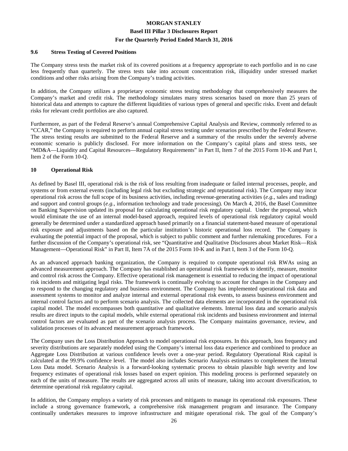#### **9.6 Stress Testing of Covered Positions**

The Company stress tests the market risk of its covered positions at a frequency appropriate to each portfolio and in no case less frequently than quarterly. The stress tests take into account concentration risk, illiquidity under stressed market conditions and other risks arising from the Company's trading activities.

In addition, the Company utilizes a proprietary economic stress testing methodology that comprehensively measures the Company's market and credit risk. The methodology simulates many stress scenarios based on more than 25 years of historical data and attempts to capture the different liquidities of various types of general and specific risks. Event and default risks for relevant credit portfolios are also captured.

Furthermore, as part of the Federal Reserve's annual Comprehensive Capital Analysis and Review, commonly referred to as "CCAR," the Company is required to perform annual capital stress testing under scenarios prescribed by the Federal Reserve. The stress testing results are submitted to the Federal Reserve and a summary of the results under the severely adverse economic scenario is publicly disclosed. For more information on the Company's capital plans and stress tests, see "MD&A—Liquidity and Capital Resources—Regulatory Requirements" in Part II, Item 7 of the 2015 Form 10-K and Part I, Item 2 of the Form 10-Q.

#### **10 Operational Risk**

As defined by Basel III, operational risk is the risk of loss resulting from inadequate or failed internal processes, people, and systems or from external events (including legal risk but excluding strategic and reputational risk). The Company may incur operational risk across the full scope of its business activities, including revenue-generating activities (*e.g.*, sales and trading) and support and control groups (*e.g.*, information technology and trade processing). On March 4, 2016, the Basel Committee on Banking Supervision updated its proposal for calculating operational risk regulatory capital. Under the proposal, which would eliminate the use of an internal model-based approach, required levels of operational risk regulatory capital would generally be determined under a standardized approach based primarily on a financial statement-based measure of operational risk exposure and adjustments based on the particular institution's historic operational loss record. The Company is evaluating the potential impact of the proposal, which is subject to public comment and further rulemaking procedures. For a further discussion of the Company's operational risk, see "Quantitative and Qualitative Disclosures about Market Risk—Risk Management—Operational Risk" in Part II, Item 7A of the 2015 Form 10-K and in Part I, Item 3 of the Form 10-Q.

As an advanced approach banking organization, the Company is required to compute operational risk RWAs using an advanced measurement approach. The Company has established an operational risk framework to identify, measure, monitor and control risk across the Company. Effective operational risk management is essential to reducing the impact of operational risk incidents and mitigating legal risks. The framework is continually evolving to account for changes in the Company and to respond to the changing regulatory and business environment. The Company has implemented operational risk data and assessment systems to monitor and analyze internal and external operational risk events, to assess business environment and internal control factors and to perform scenario analysis. The collected data elements are incorporated in the operational risk capital model. The model encompasses both quantitative and qualitative elements. Internal loss data and scenario analysis results are direct inputs to the capital models, while external operational risk incidents and business environment and internal control factors are evaluated as part of the scenario analysis process. The Company maintains governance, review, and validation processes of its advanced measurement approach framework.

The Company uses the Loss Distribution Approach to model operational risk exposures. In this approach, loss frequency and severity distributions are separately modeled using the Company's internal loss data experience and combined to produce an Aggregate Loss Distribution at various confidence levels over a one-year period. Regulatory Operational Risk capital is calculated at the 99.9% confidence level. The model also includes Scenario Analysis estimates to complement the Internal Loss Data model. Scenario Analysis is a forward-looking systematic process to obtain plausible high severity and low frequency estimates of operational risk losses based on expert opinion. This modeling process is performed separately on each of the units of measure. The results are aggregated across all units of measure, taking into account diversification, to determine operational risk regulatory capital.

In addition, the Company employs a variety of risk processes and mitigants to manage its operational risk exposures. These include a strong governance framework, a comprehensive risk management program and insurance. The Company continually undertakes measures to improve infrastructure and mitigate operational risk. The goal of the Company's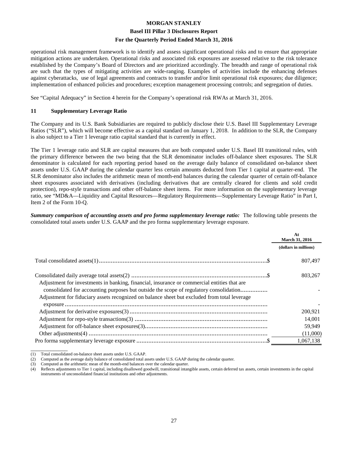#### **Basel III Pillar 3 Disclosures Report**

#### **For the Quarterly Period Ended March 31, 2016**

operational risk management framework is to identify and assess significant operational risks and to ensure that appropriate mitigation actions are undertaken. Operational risks and associated risk exposures are assessed relative to the risk tolerance established by the Company's Board of Directors and are prioritized accordingly. The breadth and range of operational risk are such that the types of mitigating activities are wide-ranging. Examples of activities include the enhancing defenses against cyberattacks, use of legal agreements and contracts to transfer and/or limit operational risk exposures; due diligence; implementation of enhanced policies and procedures; exception management processing controls; and segregation of duties.

See "Capital Adequacy" in Section 4 herein for the Company's operational risk RWAs at March 31, 2016.

#### **11 Supplementary Leverage Ratio**

The Company and its U.S. Bank Subsidiaries are required to publicly disclose their U.S. Basel III Supplementary Leverage Ratios ("SLR"), which will become effective as a capital standard on January 1, 2018. In addition to the SLR, the Company is also subject to a Tier 1 leverage ratio capital standard that is currently in effect.

The Tier 1 leverage ratio and SLR are capital measures that are both computed under U.S. Basel III transitional rules, with the primary difference between the two being that the SLR denominator includes off-balance sheet exposures. The SLR denominator is calculated for each reporting period based on the average daily balance of consolidated on-balance sheet assets under U.S. GAAP during the calendar quarter less certain amounts deducted from Tier 1 capital at quarter-end. The SLR denominator also includes the arithmetic mean of month-end balances during the calendar quarter of certain off-balance sheet exposures associated with derivatives (including derivatives that are centrally cleared for clients and sold credit protection), repo-style transactions and other off-balance sheet items. For more information on the supplementary leverage ratio, see "MD&A—Liquidity and Capital Resources—Regulatory Requirements—Supplementary Leverage Ratio" in Part I, Item 2 of the Form 10-Q.

*Summary comparison of accounting assets and pro forma supplementary leverage ratio:* The following table presents the consolidated total assets under U.S. GAAP and the pro forma supplementary leverage exposure.

|                                                                                                                                                                                                                                                                                       | At<br><b>March 31, 2016</b> |
|---------------------------------------------------------------------------------------------------------------------------------------------------------------------------------------------------------------------------------------------------------------------------------------|-----------------------------|
|                                                                                                                                                                                                                                                                                       | (dollars in millions)       |
|                                                                                                                                                                                                                                                                                       | 807,497                     |
| Adjustment for investments in banking, financial, insurance or commercial entities that are<br>consolidated for accounting purposes but outside the scope of regulatory consolidation<br>Adjustment for fiduciary assets recognized on balance sheet but excluded from total leverage | 803.267                     |
|                                                                                                                                                                                                                                                                                       |                             |
|                                                                                                                                                                                                                                                                                       | 200,921<br>14,001           |
|                                                                                                                                                                                                                                                                                       | 59,949                      |
|                                                                                                                                                                                                                                                                                       | (11,000)                    |
|                                                                                                                                                                                                                                                                                       | 1,067,138                   |

<sup>(1)</sup> Total consolidated on-balance sheet assets under U.S. GAAP.

\_\_\_\_\_\_\_\_\_\_\_\_\_

Computed as the average daily balance of consolidated total assets under U.S. GAAP during the calendar quarter.

<sup>(3)</sup> Computed as the arithmetic mean of the month-end balances over the calendar quarter.

<sup>(4)</sup> Reflects adjustments to Tier 1 capital, including disallowed goodwill, transitional intangible assets, certain deferred tax assets, certain investments in the capital instruments of unconsolidated financial institutions and other adjustments.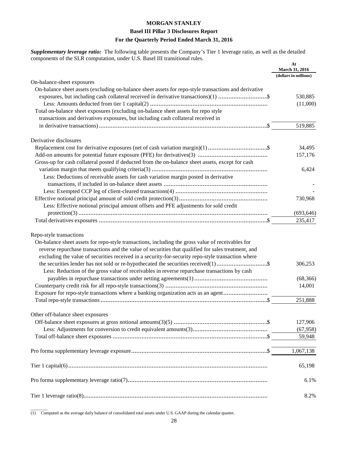*Supplementary leverage ratio:* The following table presents the Company's Tier 1 leverage ratio, as well as the detailed components of the SLR computation, under U.S. Basel III transitional rules.

|                                                                                                                                                                                                                                                                                                                                                                                                                                           | At<br><b>March 31, 2016</b><br>(dollars in millions) |
|-------------------------------------------------------------------------------------------------------------------------------------------------------------------------------------------------------------------------------------------------------------------------------------------------------------------------------------------------------------------------------------------------------------------------------------------|------------------------------------------------------|
| On-balance-sheet exposures                                                                                                                                                                                                                                                                                                                                                                                                                |                                                      |
| On-balance sheet assets (excluding on-balance sheet assets for repo-style transactions and derivative<br>exposures, but including cash collateral received in derivative transactions)(1) \$                                                                                                                                                                                                                                              | 530,885<br>(11,000)                                  |
| Total on-balance sheet exposures (excluding on-balance sheet assets for repo style<br>transactions and derivatives exposures, but including cash collateral received in                                                                                                                                                                                                                                                                   |                                                      |
|                                                                                                                                                                                                                                                                                                                                                                                                                                           | 519,885                                              |
| Derivative disclosures                                                                                                                                                                                                                                                                                                                                                                                                                    |                                                      |
|                                                                                                                                                                                                                                                                                                                                                                                                                                           | 34,495                                               |
|                                                                                                                                                                                                                                                                                                                                                                                                                                           | 157,176                                              |
| Gross-up for cash collateral posted if deducted from the on-balance sheet assets, except for cash                                                                                                                                                                                                                                                                                                                                         |                                                      |
|                                                                                                                                                                                                                                                                                                                                                                                                                                           | 6,424                                                |
| Less: Deductions of receivable assets for cash variation margin posted in derivative                                                                                                                                                                                                                                                                                                                                                      |                                                      |
|                                                                                                                                                                                                                                                                                                                                                                                                                                           |                                                      |
|                                                                                                                                                                                                                                                                                                                                                                                                                                           |                                                      |
|                                                                                                                                                                                                                                                                                                                                                                                                                                           |                                                      |
|                                                                                                                                                                                                                                                                                                                                                                                                                                           | 730,968                                              |
| Less: Effective notional principal amount offsets and PFE adjustments for sold credit                                                                                                                                                                                                                                                                                                                                                     |                                                      |
|                                                                                                                                                                                                                                                                                                                                                                                                                                           | (693, 646)                                           |
|                                                                                                                                                                                                                                                                                                                                                                                                                                           | 235,417                                              |
| Repo-style transactions<br>On-balance sheet assets for repo-style transactions, including the gross value of receivables for<br>reverse repurchase transactions and the value of securities that qualified for sales treatment, and<br>excluding the value of securities received in a security-for-security repo-style transaction where<br>Less: Reduction of the gross value of receivables in reverse repurchase transactions by cash | 306,253<br>(68, 366)<br>14,001                       |
| Exposure for repo-style transactions where a banking organization acts as an agent                                                                                                                                                                                                                                                                                                                                                        |                                                      |
|                                                                                                                                                                                                                                                                                                                                                                                                                                           | 251,888                                              |
|                                                                                                                                                                                                                                                                                                                                                                                                                                           |                                                      |
| Other off-balance sheet exposures                                                                                                                                                                                                                                                                                                                                                                                                         |                                                      |
|                                                                                                                                                                                                                                                                                                                                                                                                                                           | 127,906                                              |
|                                                                                                                                                                                                                                                                                                                                                                                                                                           | (67,958)                                             |
|                                                                                                                                                                                                                                                                                                                                                                                                                                           | 59,948                                               |
|                                                                                                                                                                                                                                                                                                                                                                                                                                           | 1,067,138                                            |
|                                                                                                                                                                                                                                                                                                                                                                                                                                           | 65,198                                               |
|                                                                                                                                                                                                                                                                                                                                                                                                                                           | 6.1%                                                 |
|                                                                                                                                                                                                                                                                                                                                                                                                                                           | 8.2%                                                 |

 $\overline{\phantom{a}}$ (1) Computed as the average daily balance of consolidated total assets under U.S. GAAP during the calendar quarter.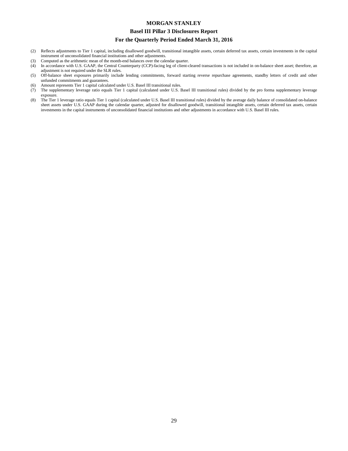#### **Basel III Pillar 3 Disclosures Report**

#### **For the Quarterly Period Ended March 31, 2016**

- (2) Reflects adjustments to Tier 1 capital, including disallowed goodwill, transitional intangible assets, certain deferred tax assets, certain investments in the capital instrument of unconsolidated financial institutions and other adjustments.
- (3) Computed as the arithmetic mean of the month-end balances over the calendar quarter.
- (4) In accordance with U.S. GAAP, the Central Counterparty (CCP)-facing leg of client-cleared transactions is not included in on-balance sheet asset; therefore, an adjustment is not required under the SLR rules.
- (5) Off-balance sheet exposures primarily include lending commitments, forward starting reverse repurchase agreements, standby letters of credit and other unfunded commitments and guarantees.
- (6) Amount represents Tier 1 capital calculated under U.S. Basel III transitional rules.
- (7) The supplementary leverage ratio equals Tier 1 capital (calculated under U.S. Basel III transitional rules) divided by the pro forma supplementary leverage exposure.
- (8) The Tier 1 leverage ratio equals Tier 1 capital (calculated under U.S. Basel III transitional rules) divided by the average daily balance of consolidated on-balance sheet assets under U.S. GAAP during the calendar quarter, adjusted for disallowed goodwill, transitional intangible assets, certain deferred tax assets, certain investments in the capital instruments of unconsolidated financial institutions and other adjustments in accordance with U.S. Basel III rules.